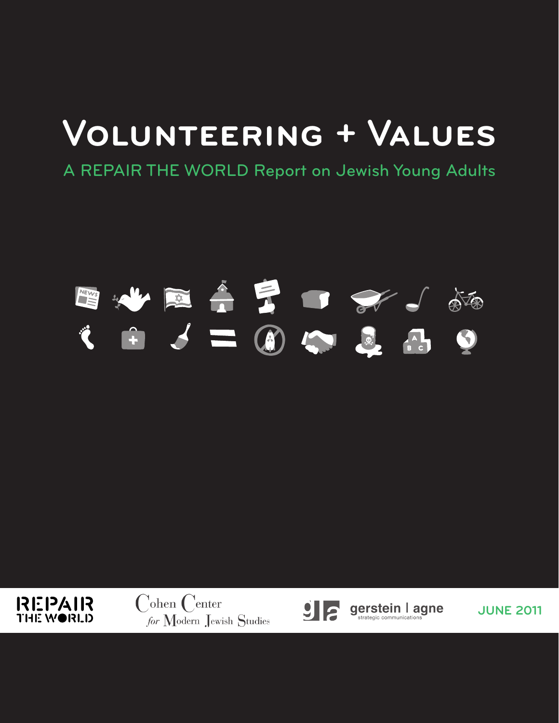# **Volunteering + Values**

A REPAIR THE WORLD Report on Jewish Young Adults

# 



 $\int$ ohen  $\int$ enter for Modern Jewish Studies



gerstein l agne

**JUNE 2011**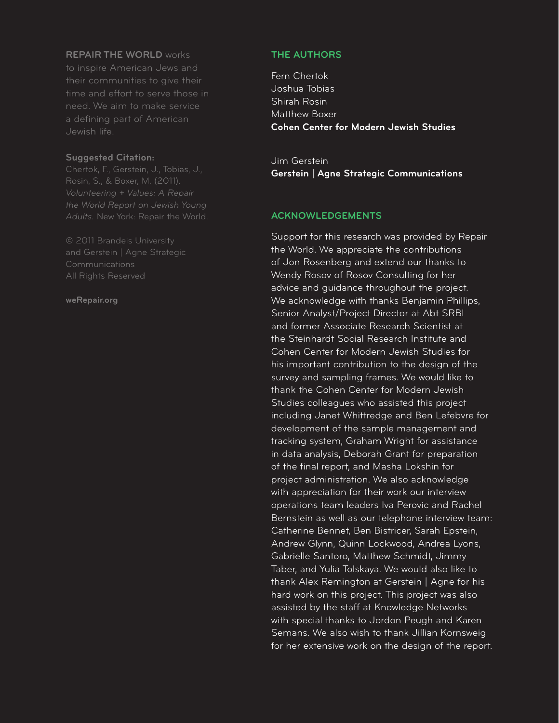#### **REPAIR THE WORLD** works

to inspire American Jews and their communities to give their time and effort to serve those in need. We aim to make service a defining part of American Jewish life.

#### **Suggested Citation:**

*Volunteering + Values: A Repair the World Report on Jewish Young Adults.* New York: Repair the World.

© 2011 Brandeis University and Gerstein | Agne Strategic Communications

#### **weRepair.org**

#### **THE AUTHORS**

Fern Chertok Joshua Tobias Shirah Rosin Matthew Boxer **Cohen Center for Modern Jewish Studies**

Jim Gerstein **Gerstein | Agne Strategic Communications**

#### **ACKNOWLEDGEMENTS**

Support for this research was provided by Repair the World. We appreciate the contributions of Jon Rosenberg and extend our thanks to Wendy Rosov of Rosov Consulting for her advice and guidance throughout the project. We acknowledge with thanks Benjamin Phillips, Senior Analyst/Project Director at Abt SRBI and former Associate Research Scientist at the Steinhardt Social Research Institute and Cohen Center for Modern Jewish Studies for his important contribution to the design of the survey and sampling frames. We would like to thank the Cohen Center for Modern Jewish Studies colleagues who assisted this project including Janet Whittredge and Ben Lefebvre for development of the sample management and tracking system, Graham Wright for assistance in data analysis, Deborah Grant for preparation of the final report, and Masha Lokshin for project administration. We also acknowledge with appreciation for their work our interview operations team leaders Iva Perovic and Rachel Bernstein as well as our telephone interview team: Catherine Bennet, Ben Bistricer, Sarah Epstein, Andrew Glynn, Quinn Lockwood, Andrea Lyons, Gabrielle Santoro, Matthew Schmidt, Jimmy Taber, and Yulia Tolskaya. We would also like to thank Alex Remington at Gerstein | Agne for his hard work on this project. This project was also assisted by the staff at Knowledge Networks with special thanks to Jordon Peugh and Karen Semans. We also wish to thank Jillian Kornsweig for her extensive work on the design of the report.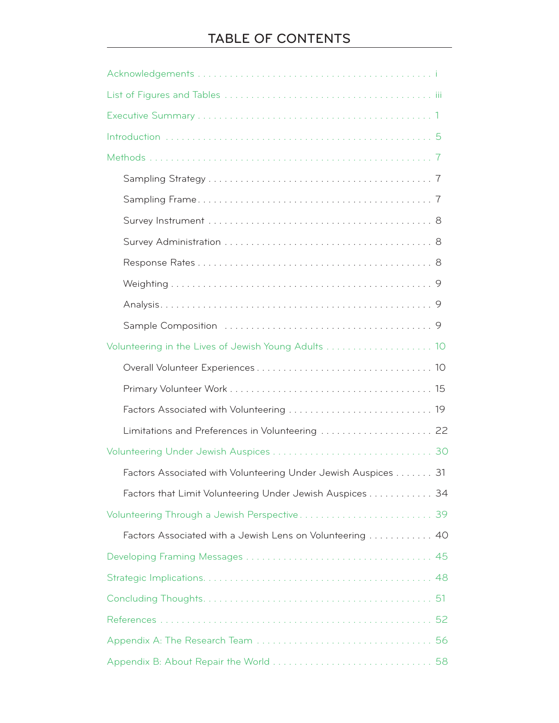| Volunteering in the Lives of Jewish Young Adults  10          |
|---------------------------------------------------------------|
|                                                               |
|                                                               |
|                                                               |
| Limitations and Preferences in Volunteering  22               |
|                                                               |
| Factors Associated with Volunteering Under Jewish Auspices 31 |
| Factors that Limit Volunteering Under Jewish Auspices 34      |
|                                                               |
| Factors Associated with a Jewish Lens on Volunteering  40     |
|                                                               |
|                                                               |
| 51                                                            |
|                                                               |
|                                                               |
|                                                               |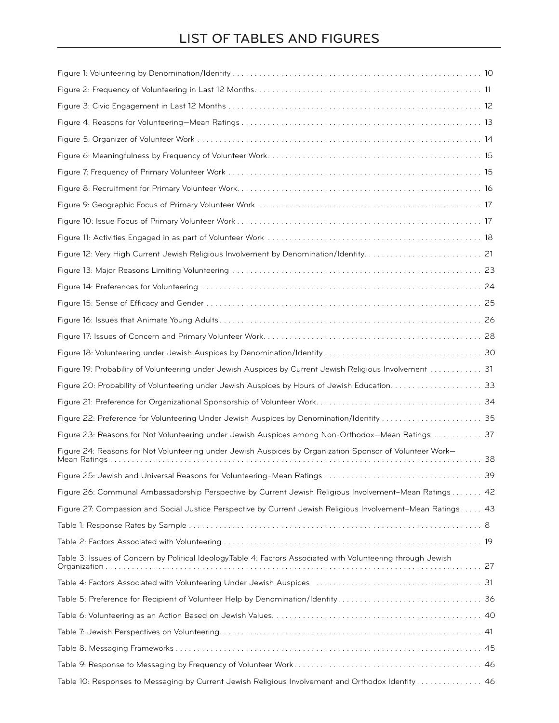# LIST OF TABLES AND FIGURES

| Figure 19: Probability of Volunteering under Jewish Auspices by Current Jewish Religious Involvement  31                      |
|-------------------------------------------------------------------------------------------------------------------------------|
|                                                                                                                               |
|                                                                                                                               |
|                                                                                                                               |
| Figure 23: Reasons for Not Volunteering under Jewish Auspices among Non-Orthodox-Mean Ratings  37                             |
| Figure 24: Reasons for Not Volunteering under Jewish Auspices by Organization Sponsor of Volunteer Work-<br>38                |
|                                                                                                                               |
| Figure 26: Communal Ambassadorship Perspective by Current Jewish Religious Involvement-Mean Ratings 42                        |
| Figure 27: Compassion and Social Justice Perspective by Current Jewish Religious Involvement-Mean Ratings 43                  |
|                                                                                                                               |
|                                                                                                                               |
| Table 3: Issues of Concern by Political Ideology.Table 4: Factors Associated with Volunteering through Jewish<br>Organization |
|                                                                                                                               |
|                                                                                                                               |
|                                                                                                                               |
|                                                                                                                               |
|                                                                                                                               |
|                                                                                                                               |
| Table 10: Responses to Messaging by Current Jewish Religious Involvement and Orthodox Identity  46                            |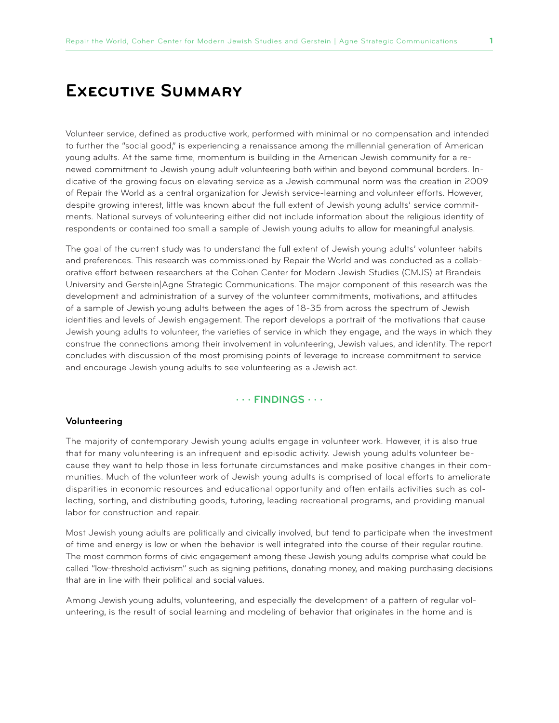# **Executive Summary**

Volunteer service, defined as productive work, performed with minimal or no compensation and intended to further the "social good," is experiencing a renaissance among the millennial generation of American young adults. At the same time, momentum is building in the American Jewish community for a renewed commitment to Jewish young adult volunteering both within and beyond communal borders. Indicative of the growing focus on elevating service as a Jewish communal norm was the creation in 2009 of Repair the World as a central organization for Jewish service-learning and volunteer efforts. However, despite growing interest, little was known about the full extent of Jewish young adults' service commitments. National surveys of volunteering either did not include information about the religious identity of respondents or contained too small a sample of Jewish young adults to allow for meaningful analysis.

The goal of the current study was to understand the full extent of Jewish young adults' volunteer habits and preferences. This research was commissioned by Repair the World and was conducted as a collaborative effort between researchers at the Cohen Center for Modern Jewish Studies (CMJS) at Brandeis University and Gerstein|Agne Strategic Communications. The major component of this research was the development and administration of a survey of the volunteer commitments, motivations, and attitudes of a sample of Jewish young adults between the ages of 18-35 from across the spectrum of Jewish identities and levels of Jewish engagement. The report develops a portrait of the motivations that cause Jewish young adults to volunteer, the varieties of service in which they engage, and the ways in which they construe the connections among their involvement in volunteering, Jewish values, and identity. The report concludes with discussion of the most promising points of leverage to increase commitment to service and encourage Jewish young adults to see volunteering as a Jewish act.

#### **· · · FINDINGS · · ·**

#### **Volunteering**

The majority of contemporary Jewish young adults engage in volunteer work. However, it is also true that for many volunteering is an infrequent and episodic activity. Jewish young adults volunteer because they want to help those in less fortunate circumstances and make positive changes in their communities. Much of the volunteer work of Jewish young adults is comprised of local efforts to ameliorate disparities in economic resources and educational opportunity and often entails activities such as collecting, sorting, and distributing goods, tutoring, leading recreational programs, and providing manual labor for construction and repair.

Most Jewish young adults are politically and civically involved, but tend to participate when the investment of time and energy is low or when the behavior is well integrated into the course of their regular routine. The most common forms of civic engagement among these Jewish young adults comprise what could be called "low-threshold activism" such as signing petitions, donating money, and making purchasing decisions that are in line with their political and social values.

Among Jewish young adults, volunteering, and especially the development of a pattern of regular volunteering, is the result of social learning and modeling of behavior that originates in the home and is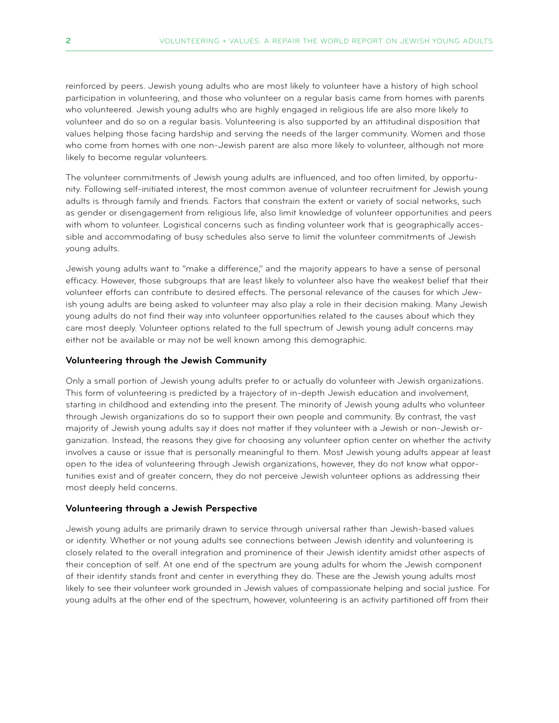reinforced by peers. Jewish young adults who are most likely to volunteer have a history of high school participation in volunteering, and those who volunteer on a regular basis came from homes with parents who volunteered. Jewish young adults who are highly engaged in religious life are also more likely to volunteer and do so on a regular basis. Volunteering is also supported by an attitudinal disposition that values helping those facing hardship and serving the needs of the larger community. Women and those who come from homes with one non-Jewish parent are also more likely to volunteer, although not more likely to become regular volunteers.

The volunteer commitments of Jewish young adults are influenced, and too often limited, by opportunity. Following self-initiated interest, the most common avenue of volunteer recruitment for Jewish young adults is through family and friends. Factors that constrain the extent or variety of social networks, such as gender or disengagement from religious life, also limit knowledge of volunteer opportunities and peers with whom to volunteer. Logistical concerns such as finding volunteer work that is geographically accessible and accommodating of busy schedules also serve to limit the volunteer commitments of Jewish young adults.

Jewish young adults want to "make a difference," and the majority appears to have a sense of personal efficacy. However, those subgroups that are least likely to volunteer also have the weakest belief that their volunteer efforts can contribute to desired effects. The personal relevance of the causes for which Jewish young adults are being asked to volunteer may also play a role in their decision making. Many Jewish young adults do not find their way into volunteer opportunities related to the causes about which they care most deeply. Volunteer options related to the full spectrum of Jewish young adult concerns may either not be available or may not be well known among this demographic.

#### **Volunteering through the Jewish Community**

Only a small portion of Jewish young adults prefer to or actually do volunteer with Jewish organizations. This form of volunteering is predicted by a trajectory of in-depth Jewish education and involvement, starting in childhood and extending into the present. The minority of Jewish young adults who volunteer through Jewish organizations do so to support their own people and community. By contrast, the vast majority of Jewish young adults say it does not matter if they volunteer with a Jewish or non-Jewish organization. Instead, the reasons they give for choosing any volunteer option center on whether the activity involves a cause or issue that is personally meaningful to them. Most Jewish young adults appear at least open to the idea of volunteering through Jewish organizations, however, they do not know what opportunities exist and of greater concern, they do not perceive Jewish volunteer options as addressing their most deeply held concerns.

#### **Volunteering through a Jewish Perspective**

Jewish young adults are primarily drawn to service through universal rather than Jewish-based values or identity. Whether or not young adults see connections between Jewish identity and volunteering is closely related to the overall integration and prominence of their Jewish identity amidst other aspects of their conception of self. At one end of the spectrum are young adults for whom the Jewish component of their identity stands front and center in everything they do. These are the Jewish young adults most likely to see their volunteer work grounded in Jewish values of compassionate helping and social justice. For young adults at the other end of the spectrum, however, volunteering is an activity partitioned off from their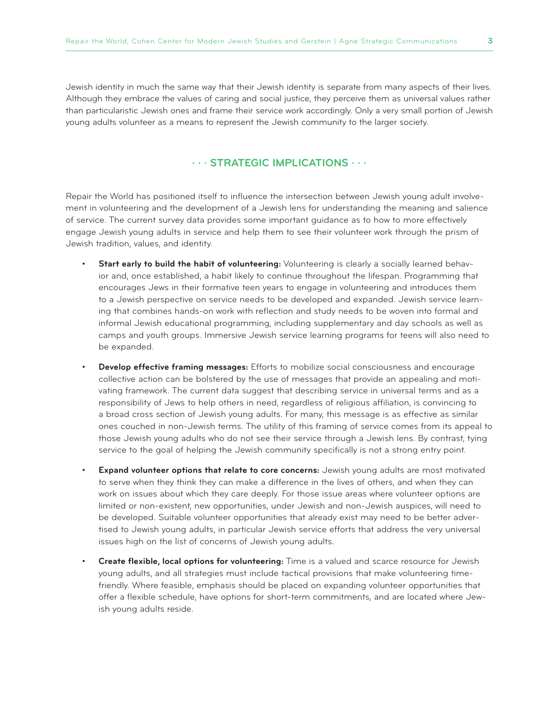Jewish identity in much the same way that their Jewish identity is separate from many aspects of their lives. Although they embrace the values of caring and social justice, they perceive them as universal values rather than particularistic Jewish ones and frame their service work accordingly. Only a very small portion of Jewish young adults volunteer as a means to represent the Jewish community to the larger society.

#### **· · · Strategic Implications · · ·**

Repair the World has positioned itself to influence the intersection between Jewish young adult involvement in volunteering and the development of a Jewish lens for understanding the meaning and salience of service. The current survey data provides some important guidance as to how to more effectively engage Jewish young adults in service and help them to see their volunteer work through the prism of Jewish tradition, values, and identity.

- **Start early to build the habit of volunteering:** Volunteering is clearly a socially learned behavior and, once established, a habit likely to continue throughout the lifespan. Programming that encourages Jews in their formative teen years to engage in volunteering and introduces them to a Jewish perspective on service needs to be developed and expanded. Jewish service learning that combines hands-on work with reflection and study needs to be woven into formal and informal Jewish educational programming, including supplementary and day schools as well as camps and youth groups. Immersive Jewish service learning programs for teens will also need to be expanded.
- **Develop effective framing messages:** Efforts to mobilize social consciousness and encourage collective action can be bolstered by the use of messages that provide an appealing and motivating framework. The current data suggest that describing service in universal terms and as a responsibility of Jews to help others in need, regardless of religious affiliation, is convincing to a broad cross section of Jewish young adults. For many, this message is as effective as similar ones couched in non-Jewish terms. The utility of this framing of service comes from its appeal to those Jewish young adults who do not see their service through a Jewish lens. By contrast, tying service to the goal of helping the Jewish community specifically is not a strong entry point.
- **Expand volunteer options that relate to core concerns:** Jewish young adults are most motivated to serve when they think they can make a difference in the lives of others, and when they can work on issues about which they care deeply. For those issue areas where volunteer options are limited or non-existent, new opportunities, under Jewish and non-Jewish auspices, will need to be developed. Suitable volunteer opportunities that already exist may need to be better advertised to Jewish young adults, in particular Jewish service efforts that address the very universal issues high on the list of concerns of Jewish young adults.
- **Create flexible, local options for volunteering:** Time is a valued and scarce resource for Jewish young adults, and all strategies must include tactical provisions that make volunteering timefriendly. Where feasible, emphasis should be placed on expanding volunteer opportunities that offer a flexible schedule, have options for short-term commitments, and are located where Jewish young adults reside.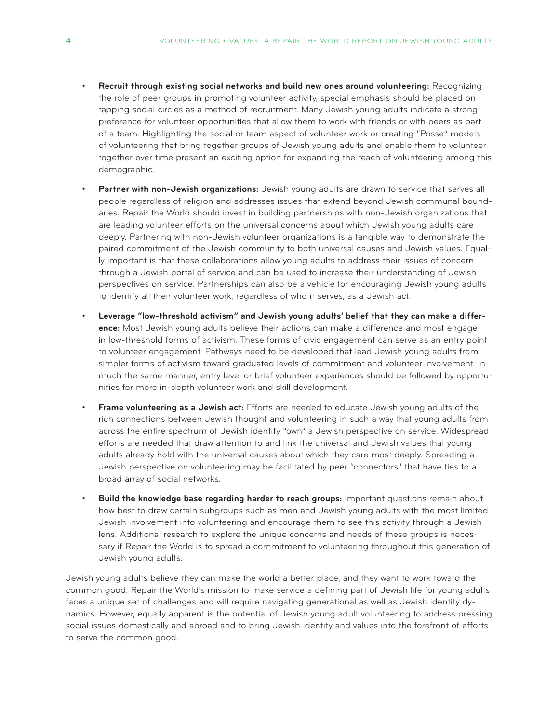- **Recruit through existing social networks and build new ones around volunteering: Recognizing** the role of peer groups in promoting volunteer activity, special emphasis should be placed on tapping social circles as a method of recruitment. Many Jewish young adults indicate a strong preference for volunteer opportunities that allow them to work with friends or with peers as part of a team. Highlighting the social or team aspect of volunteer work or creating "Posse" models of volunteering that bring together groups of Jewish young adults and enable them to volunteer together over time present an exciting option for expanding the reach of volunteering among this demographic.
- Partner with non-Jewish organizations: Jewish young adults are drawn to service that serves all people regardless of religion and addresses issues that extend beyond Jewish communal boundaries. Repair the World should invest in building partnerships with non-Jewish organizations that are leading volunteer efforts on the universal concerns about which Jewish young adults care deeply. Partnering with non-Jewish volunteer organizations is a tangible way to demonstrate the paired commitment of the Jewish community to both universal causes and Jewish values. Equally important is that these collaborations allow young adults to address their issues of concern through a Jewish portal of service and can be used to increase their understanding of Jewish perspectives on service. Partnerships can also be a vehicle for encouraging Jewish young adults to identify all their volunteer work, regardless of who it serves, as a Jewish act.
- Leverage "low-threshold activism" and Jewish young adults' belief that they can make a differ**ence:** Most Jewish young adults believe their actions can make a difference and most engage in low-threshold forms of activism. These forms of civic engagement can serve as an entry point to volunteer engagement. Pathways need to be developed that lead Jewish young adults from simpler forms of activism toward graduated levels of commitment and volunteer involvement. In much the same manner, entry level or brief volunteer experiences should be followed by opportunities for more in-depth volunteer work and skill development.
- **Frame volunteering as a Jewish act:** Efforts are needed to educate Jewish young adults of the rich connections between Jewish thought and volunteering in such a way that young adults from across the entire spectrum of Jewish identity "own" a Jewish perspective on service. Widespread efforts are needed that draw attention to and link the universal and Jewish values that young adults already hold with the universal causes about which they care most deeply. Spreading a Jewish perspective on volunteering may be facilitated by peer "connectors" that have ties to a broad array of social networks.
- **Build the knowledge base regarding harder to reach groups:** Important questions remain about how best to draw certain subgroups such as men and Jewish young adults with the most limited Jewish involvement into volunteering and encourage them to see this activity through a Jewish lens. Additional research to explore the unique concerns and needs of these groups is necessary if Repair the World is to spread a commitment to volunteering throughout this generation of Jewish young adults.

Jewish young adults believe they can make the world a better place, and they want to work toward the common good. Repair the World's mission to make service a defining part of Jewish life for young adults faces a unique set of challenges and will require navigating generational as well as Jewish identity dynamics. However, equally apparent is the potential of Jewish young adult volunteering to address pressing social issues domestically and abroad and to bring Jewish identity and values into the forefront of efforts to serve the common good.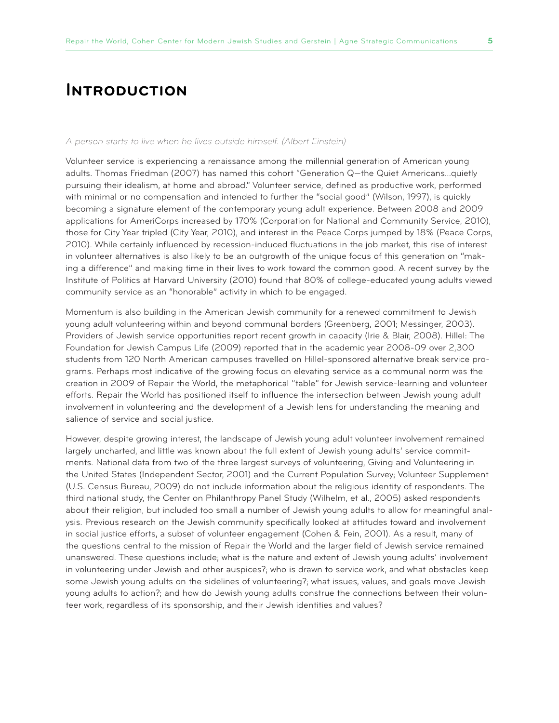# **Introduction**

#### *A person starts to live when he lives outside himself. (Albert Einstein)*

Volunteer service is experiencing a renaissance among the millennial generation of American young adults. Thomas Friedman (2007) has named this cohort "Generation Q—the Quiet Americans…quietly pursuing their idealism, at home and abroad." Volunteer service, defined as productive work, performed with minimal or no compensation and intended to further the "social good" (Wilson, 1997), is quickly becoming a signature element of the contemporary young adult experience. Between 2008 and 2009 applications for AmeriCorps increased by 170% (Corporation for National and Community Service, 2010), those for City Year tripled (City Year, 2010), and interest in the Peace Corps jumped by 18% (Peace Corps, 2010). While certainly influenced by recession-induced fluctuations in the job market, this rise of interest in volunteer alternatives is also likely to be an outgrowth of the unique focus of this generation on "making a difference" and making time in their lives to work toward the common good. A recent survey by the Institute of Politics at Harvard University (2010) found that 80% of college-educated young adults viewed community service as an "honorable" activity in which to be engaged.

Momentum is also building in the American Jewish community for a renewed commitment to Jewish young adult volunteering within and beyond communal borders (Greenberg, 2001; Messinger, 2003). Providers of Jewish service opportunities report recent growth in capacity (Irie & Blair, 2008). Hillel: The Foundation for Jewish Campus Life (2009) reported that in the academic year 2008-09 over 2,300 students from 120 North American campuses travelled on Hillel-sponsored alternative break service programs. Perhaps most indicative of the growing focus on elevating service as a communal norm was the creation in 2009 of Repair the World, the metaphorical "table" for Jewish service-learning and volunteer efforts. Repair the World has positioned itself to influence the intersection between Jewish young adult involvement in volunteering and the development of a Jewish lens for understanding the meaning and salience of service and social justice.

However, despite growing interest, the landscape of Jewish young adult volunteer involvement remained largely uncharted, and little was known about the full extent of Jewish young adults' service commitments. National data from two of the three largest surveys of volunteering, Giving and Volunteering in the United States (Independent Sector, 2001) and the Current Population Survey; Volunteer Supplement (U.S. Census Bureau, 2009) do not include information about the religious identity of respondents. The third national study, the Center on Philanthropy Panel Study (Wilhelm, et al., 2005) asked respondents about their religion, but included too small a number of Jewish young adults to allow for meaningful analysis. Previous research on the Jewish community specifically looked at attitudes toward and involvement in social justice efforts, a subset of volunteer engagement (Cohen & Fein, 2001). As a result, many of the questions central to the mission of Repair the World and the larger field of Jewish service remained unanswered. These questions include; what is the nature and extent of Jewish young adults' involvement in volunteering under Jewish and other auspices?; who is drawn to service work, and what obstacles keep some Jewish young adults on the sidelines of volunteering?; what issues, values, and goals move Jewish young adults to action?; and how do Jewish young adults construe the connections between their volunteer work, regardless of its sponsorship, and their Jewish identities and values?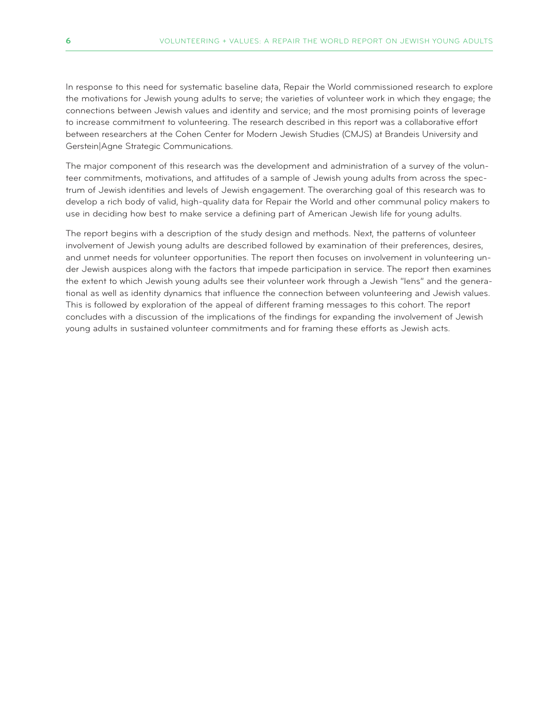In response to this need for systematic baseline data, Repair the World commissioned research to explore the motivations for Jewish young adults to serve; the varieties of volunteer work in which they engage; the connections between Jewish values and identity and service; and the most promising points of leverage to increase commitment to volunteering. The research described in this report was a collaborative effort between researchers at the Cohen Center for Modern Jewish Studies (CMJS) at Brandeis University and Gerstein|Agne Strategic Communications.

The major component of this research was the development and administration of a survey of the volunteer commitments, motivations, and attitudes of a sample of Jewish young adults from across the spectrum of Jewish identities and levels of Jewish engagement. The overarching goal of this research was to develop a rich body of valid, high-quality data for Repair the World and other communal policy makers to use in deciding how best to make service a defining part of American Jewish life for young adults.

The report begins with a description of the study design and methods. Next, the patterns of volunteer involvement of Jewish young adults are described followed by examination of their preferences, desires, and unmet needs for volunteer opportunities. The report then focuses on involvement in volunteering under Jewish auspices along with the factors that impede participation in service. The report then examines the extent to which Jewish young adults see their volunteer work through a Jewish "lens" and the generational as well as identity dynamics that influence the connection between volunteering and Jewish values. This is followed by exploration of the appeal of different framing messages to this cohort. The report concludes with a discussion of the implications of the findings for expanding the involvement of Jewish young adults in sustained volunteer commitments and for framing these efforts as Jewish acts.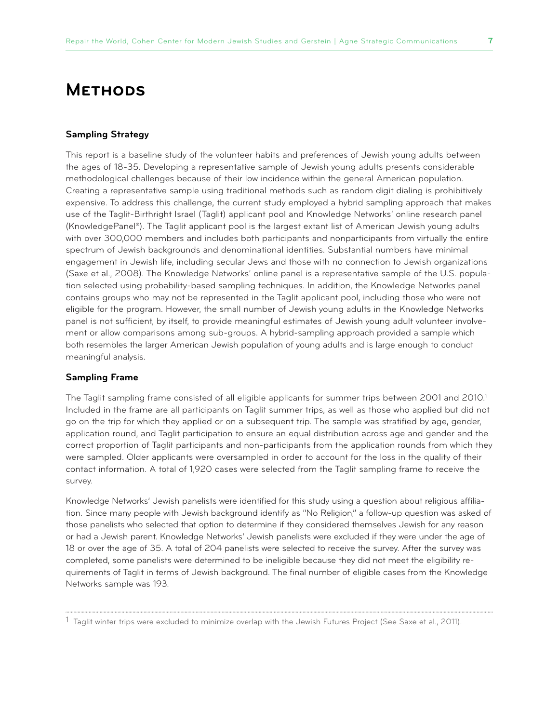# **Methods**

#### **Sampling Strategy**

This report is a baseline study of the volunteer habits and preferences of Jewish young adults between the ages of 18-35. Developing a representative sample of Jewish young adults presents considerable methodological challenges because of their low incidence within the general American population. Creating a representative sample using traditional methods such as random digit dialing is prohibitively expensive. To address this challenge, the current study employed a hybrid sampling approach that makes use of the Taglit-Birthright Israel (Taglit) applicant pool and Knowledge Networks' online research panel (KnowledgePanel®). The Taglit applicant pool is the largest extant list of American Jewish young adults with over 300,000 members and includes both participants and nonparticipants from virtually the entire spectrum of Jewish backgrounds and denominational identities. Substantial numbers have minimal engagement in Jewish life, including secular Jews and those with no connection to Jewish organizations (Saxe et al., 2008). The Knowledge Networks' online panel is a representative sample of the U.S. population selected using probability-based sampling techniques. In addition, the Knowledge Networks panel contains groups who may not be represented in the Taglit applicant pool, including those who were not eligible for the program. However, the small number of Jewish young adults in the Knowledge Networks panel is not sufficient, by itself, to provide meaningful estimates of Jewish young adult volunteer involvement or allow comparisons among sub-groups. A hybrid-sampling approach provided a sample which both resembles the larger American Jewish population of young adults and is large enough to conduct meaningful analysis.

#### **Sampling Frame**

The Taglit sampling frame consisted of all eligible applicants for summer trips between 2001 and 2010. $^{\scriptscriptstyle\rm I}$ Included in the frame are all participants on Taglit summer trips, as well as those who applied but did not go on the trip for which they applied or on a subsequent trip. The sample was stratified by age, gender, application round, and Taglit participation to ensure an equal distribution across age and gender and the correct proportion of Taglit participants and non-participants from the application rounds from which they were sampled. Older applicants were oversampled in order to account for the loss in the quality of their contact information. A total of 1,920 cases were selected from the Taglit sampling frame to receive the survey.

Knowledge Networks' Jewish panelists were identified for this study using a question about religious affiliation. Since many people with Jewish background identify as "No Religion," a follow-up question was asked of those panelists who selected that option to determine if they considered themselves Jewish for any reason or had a Jewish parent. Knowledge Networks' Jewish panelists were excluded if they were under the age of 18 or over the age of 35. A total of 204 panelists were selected to receive the survey. After the survey was completed, some panelists were determined to be ineligible because they did not meet the eligibility requirements of Taglit in terms of Jewish background. The final number of eligible cases from the Knowledge Networks sample was 193.

<sup>1</sup> Taglit winter trips were excluded to minimize overlap with the Jewish Futures Project (See Saxe et al., 2011).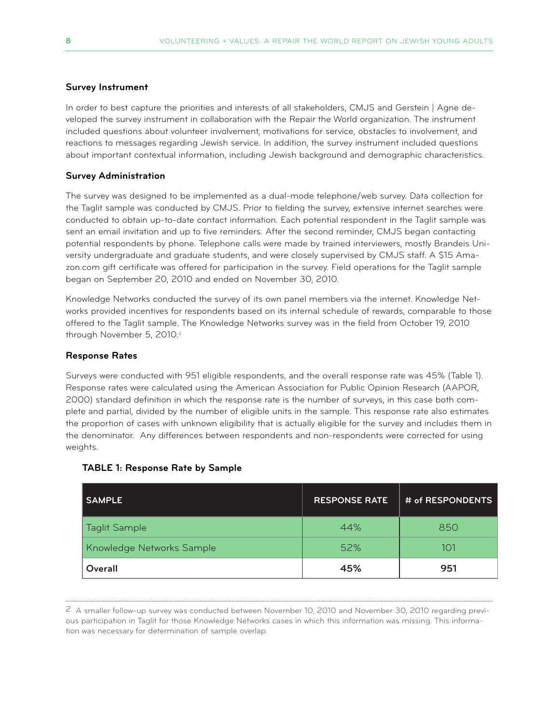#### **Survey Instrument**

In order to best capture the priorities and interests of all stakeholders, CMJS and Gerstein | Agne developed the survey instrument in collaboration with the Repair the World organization. The instrument included questions about volunteer involvement, motivations for service, obstacles to involvement, and reactions to messages regarding Jewish service. In addition, the survey instrument included questions about important contextual information, including Jewish background and demographic characteristics.

#### **Survey Administration**

The survey was designed to be implemented as a dual-mode telephone/web survey. Data collection for the Taglit sample was conducted by CMJS. Prior to fielding the survey, extensive internet searches were conducted to obtain up-to-date contact information. Each potential respondent in the Taglit sample was sent an email invitation and up to five reminders. After the second reminder, CMJS began contacting potential respondents by phone. Telephone calls were made by trained interviewers, mostly Brandeis University undergraduate and graduate students, and were closely supervised by CMJS staff. A \$15 Amazon.com gift certificate was offered for participation in the survey. Field operations for the Taglit sample began on September 20, 2010 and ended on November 30, 2010.

Knowledge Networks conducted the survey of its own panel members via the internet. Knowledge Networks provided incentives for respondents based on its internal schedule of rewards, comparable to those offered to the Taglit sample. The Knowledge Networks survey was in the field from October 19, 2010 through November 5, 2010.<sup>2</sup>

#### **Response Rates**

Surveys were conducted with 951 eligible respondents, and the overall response rate was 45% (Table 1). Response rates were calculated using the American Association for Public Opinion Research (AAPOR, 2000) standard definition in which the response rate is the number of surveys, in this case both complete and partial, divided by the number of eligible units in the sample. This response rate also estimates the proportion of cases with unknown eligibility that is actually eligible for the survey and includes them in the denominator. Any differences between respondents and non-respondents were corrected for using weights.

| <b>SAMPLE</b>             | <b>RESPONSE RATE</b> | # of RESPONDENTS |
|---------------------------|----------------------|------------------|
| <b>Taglit Sample</b>      | 44%                  | 850              |
| Knowledge Networks Sample | 52%                  | 101              |
| Overall                   | 45%                  | 951              |

#### **TABLE 1: Response Rate by Sample**

<sup>2</sup> A smaller follow-up survey was conducted between November 10, 2010 and November 30, 2010 regarding previous participation in Taglit for those Knowledge Networks cases in which this information was missing. This information was necessary for determination of sample overlap.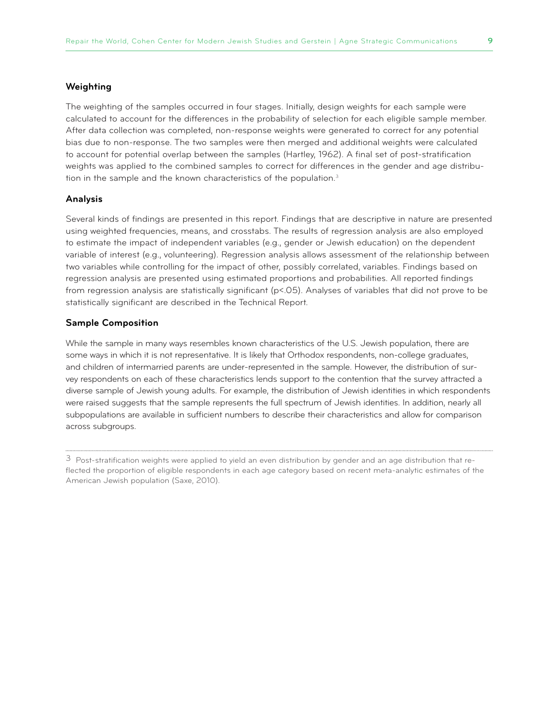#### **Weighting**

The weighting of the samples occurred in four stages. Initially, design weights for each sample were calculated to account for the differences in the probability of selection for each eligible sample member. After data collection was completed, non-response weights were generated to correct for any potential bias due to non-response. The two samples were then merged and additional weights were calculated to account for potential overlap between the samples (Hartley, 1962). A final set of post-stratification weights was applied to the combined samples to correct for differences in the gender and age distribution in the sample and the known characteristics of the population.<sup>3</sup>

#### **Analysis**

Several kinds of findings are presented in this report. Findings that are descriptive in nature are presented using weighted frequencies, means, and crosstabs. The results of regression analysis are also employed to estimate the impact of independent variables (e.g., gender or Jewish education) on the dependent variable of interest (e.g., volunteering). Regression analysis allows assessment of the relationship between two variables while controlling for the impact of other, possibly correlated, variables. Findings based on regression analysis are presented using estimated proportions and probabilities. All reported findings from regression analysis are statistically significant (p<.05). Analyses of variables that did not prove to be statistically significant are described in the Technical Report.

#### **Sample Composition**

While the sample in many ways resembles known characteristics of the U.S. Jewish population, there are some ways in which it is not representative. It is likely that Orthodox respondents, non-college graduates, and children of intermarried parents are under-represented in the sample. However, the distribution of survey respondents on each of these characteristics lends support to the contention that the survey attracted a diverse sample of Jewish young adults. For example, the distribution of Jewish identities in which respondents were raised suggests that the sample represents the full spectrum of Jewish identities. In addition, nearly all subpopulations are available in sufficient numbers to describe their characteristics and allow for comparison across subgroups.

 $3$  Post-stratification weights were applied to yield an even distribution by gender and an age distribution that reflected the proportion of eligible respondents in each age category based on recent meta-analytic estimates of the American Jewish population (Saxe, 2010).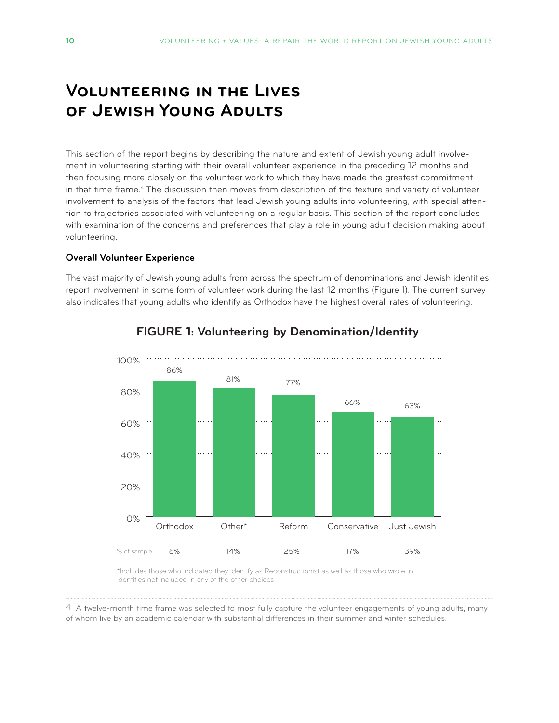# **Volunteering in the Lives of Jewish Young Adults**

This section of the report begins by describing the nature and extent of Jewish young adult involvement in volunteering starting with their overall volunteer experience in the preceding 12 months and then focusing more closely on the volunteer work to which they have made the greatest commitment in that time frame.<sup>4</sup> The discussion then moves from description of the texture and variety of volunteer involvement to analysis of the factors that lead Jewish young adults into volunteering, with special attention to trajectories associated with volunteering on a regular basis. This section of the report concludes with examination of the concerns and preferences that play a role in young adult decision making about volunteering.

#### **Overall Volunteer Experience**

The vast majority of Jewish young adults from across the spectrum of denominations and Jewish identities report involvement in some form of volunteer work during the last 12 months (Figure 1). The current survey also indicates that young adults who identify as Orthodox have the highest overall rates of volunteering.



#### **FIGURE 1: Volunteering by Denomination/Identity**

\*Includes those who indicated they identify as Reconstructionist as well as those who wrote in identities not included in any of the other choices

4 A twelve-month time frame was selected to most fully capture the volunteer engagements of young adults, many of whom live by an academic calendar with substantial differences in their summer and winter schedules.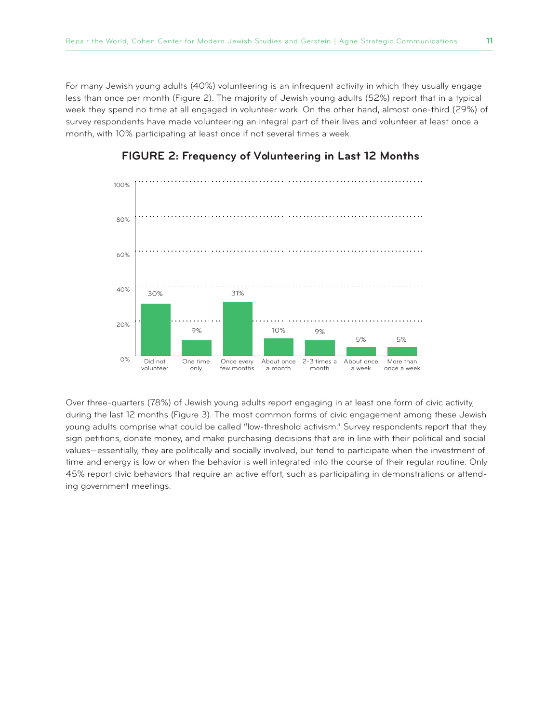For many Jewish young adults (40%) volunteering is an infrequent activity in which they usually engage less than once per month (Figure 2). The majority of Jewish young adults (52%) report that in a typical week they spend no time at all engaged in volunteer work. On the other hand, almost one-third (29%) of survey respondents have made volunteering an integral part of their lives and volunteer at least once a month, with 10% participating at least once if not several times a week.



#### **FIGURE 2: Frequency of Volunteering in Last 12 Months**

Over three-quarters (78%) of Jewish young adults report engaging in at least one form of civic activity, during the last 12 months (Figure 3). The most common forms of civic engagement among these Jewish young adults comprise what could be called "low-threshold activism." Survey respondents report that they sign petitions, donate money, and make purchasing decisions that are in line with their political and social values—essentially, they are politically and socially involved, but tend to participate when the investment of time and energy is low or when the behavior is well integrated into the course of their regular routine. Only 45% report civic behaviors that require an active effort, such as participating in demonstrations or attending government meetings.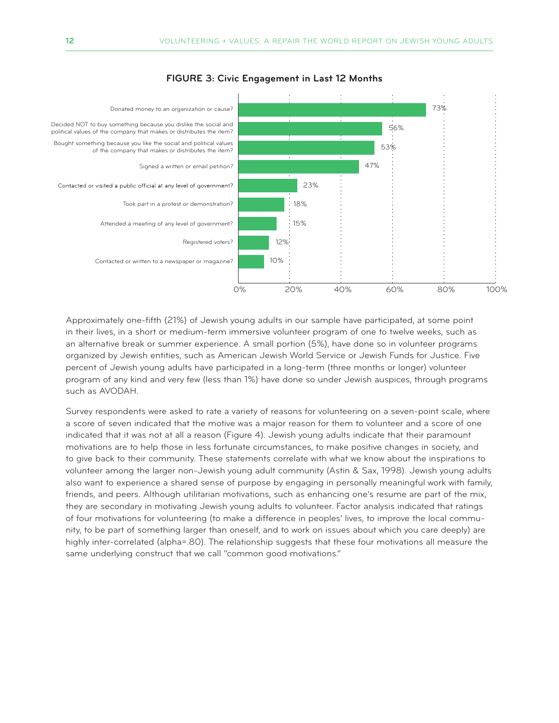

#### **FIGURE 3: Civic Engagement in Last 12 Months**

Approximately one-fifth (21%) of Jewish young adults in our sample have participated, at some point in their lives, in a short or medium-term immersive volunteer program of one to twelve weeks, such as an alternative break or summer experience. A small portion (5%), have done so in volunteer programs organized by Jewish entities, such as American Jewish World Service or Jewish Funds for Justice. Five percent of Jewish young adults have participated in a long-term (three months or longer) volunteer program of any kind and very few (less than 1%) have done so under Jewish auspices, through programs such as AVODAH.

Survey respondents were asked to rate a variety of reasons for volunteering on a seven-point scale, where a score of seven indicated that the motive was a major reason for them to volunteer and a score of one indicated that it was not at all a reason (Figure 4). Jewish young adults indicate that their paramount motivations are to help those in less fortunate circumstances, to make positive changes in society, and to give back to their community. These statements correlate with what we know about the inspirations to volunteer among the larger non-Jewish young adult community (Astin & Sax, 1998). Jewish young adults also want to experience a shared sense of purpose by engaging in personally meaningful work with family, friends, and peers. Although utilitarian motivations, such as enhancing one's resume are part of the mix, they are secondary in motivating Jewish young adults to volunteer. Factor analysis indicated that ratings of four motivations for volunteering (to make a difference in peoples' lives, to improve the local community, to be part of something larger than oneself, and to work on issues about which you care deeply) are highly inter-correlated (alpha=.80). The relationship suggests that these four motivations all measure the same underlying construct that we call "common good motivations."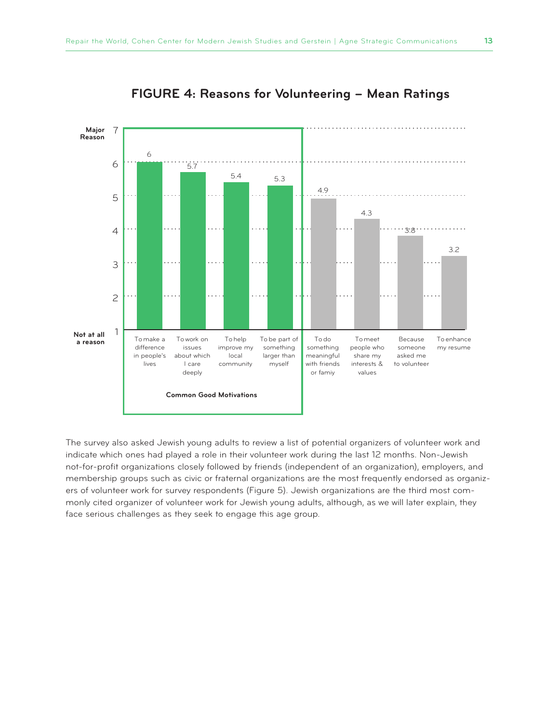

#### **FIGURE 4: Reasons for Volunteering – Mean Ratings**

The survey also asked Jewish young adults to review a list of potential organizers of volunteer work and indicate which ones had played a role in their volunteer work during the last 12 months. Non-Jewish not-for-profit organizations closely followed by friends (independent of an organization), employers, and membership groups such as civic or fraternal organizations are the most frequently endorsed as organizers of volunteer work for survey respondents (Figure 5). Jewish organizations are the third most commonly cited organizer of volunteer work for Jewish young adults, although, as we will later explain, they face serious challenges as they seek to engage this age group.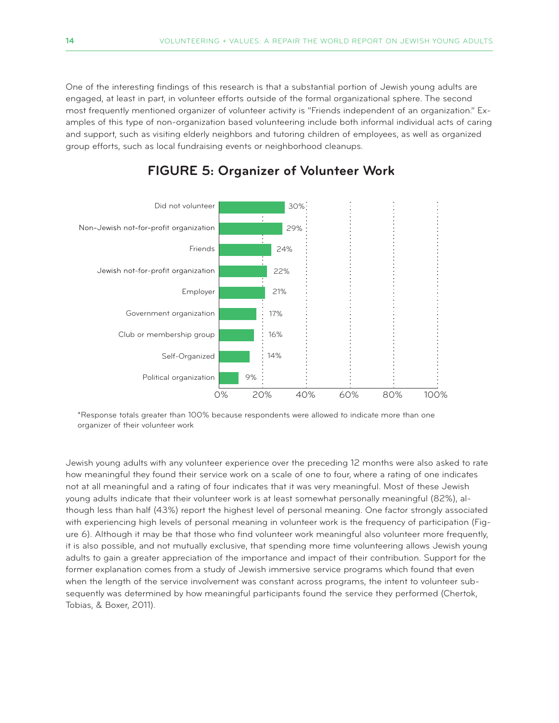One of the interesting findings of this research is that a substantial portion of Jewish young adults are engaged, at least in part, in volunteer efforts outside of the formal organizational sphere. The second most frequently mentioned organizer of volunteer activity is "Friends independent of an organization." Examples of this type of non-organization based volunteering include both informal individual acts of caring and support, such as visiting elderly neighbors and tutoring children of employees, as well as organized group efforts, such as local fundraising events or neighborhood cleanups.



#### **FIGURE 5: Organizer of Volunteer Work**

\*Response totals greater than 100% because respondents were allowed to indicate more than one organizer of their volunteer work

Jewish young adults with any volunteer experience over the preceding 12 months were also asked to rate how meaningful they found their service work on a scale of one to four, where a rating of one indicates not at all meaningful and a rating of four indicates that it was very meaningful. Most of these Jewish young adults indicate that their volunteer work is at least somewhat personally meaningful (82%), although less than half (43%) report the highest level of personal meaning. One factor strongly associated with experiencing high levels of personal meaning in volunteer work is the frequency of participation (Figure 6). Although it may be that those who find volunteer work meaningful also volunteer more frequently, it is also possible, and not mutually exclusive, that spending more time volunteering allows Jewish young adults to gain a greater appreciation of the importance and impact of their contribution. Support for the former explanation comes from a study of Jewish immersive service programs which found that even when the length of the service involvement was constant across programs, the intent to volunteer subsequently was determined by how meaningful participants found the service they performed (Chertok, Tobias, & Boxer, 2011).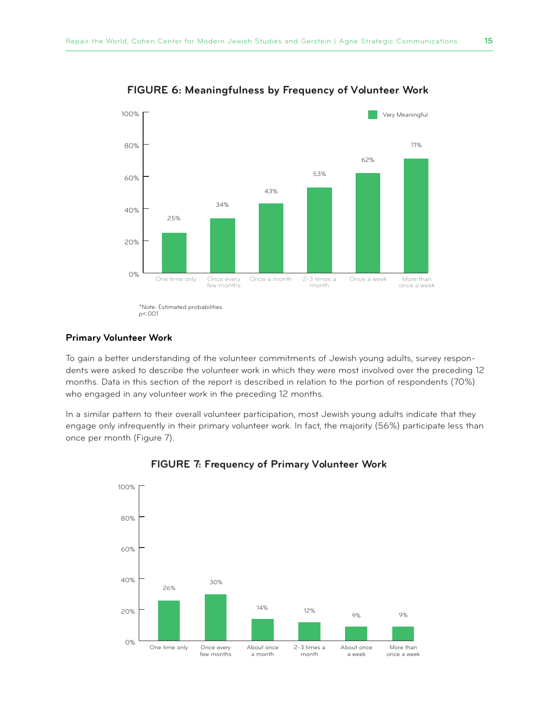

**FIGURE 6: Meaningfulness by Frequency of Volunteer Work**

#### **Primary Volunteer Work**

To gain a better understanding of the volunteer commitments of Jewish young adults, survey respondents were asked to describe the volunteer work in which they were most involved over the preceding 12 months. Data in this section of the report is described in relation to the portion of respondents (70%) who engaged in any volunteer work in the preceding 12 months.

In a similar pattern to their overall volunteer participation, most Jewish young adults indicate that they engage only infrequently in their primary volunteer work. In fact, the majority (56%) participate less than once per month (Figure 7).



#### **FIGURE 7: Frequency of Primary Volunteer Work**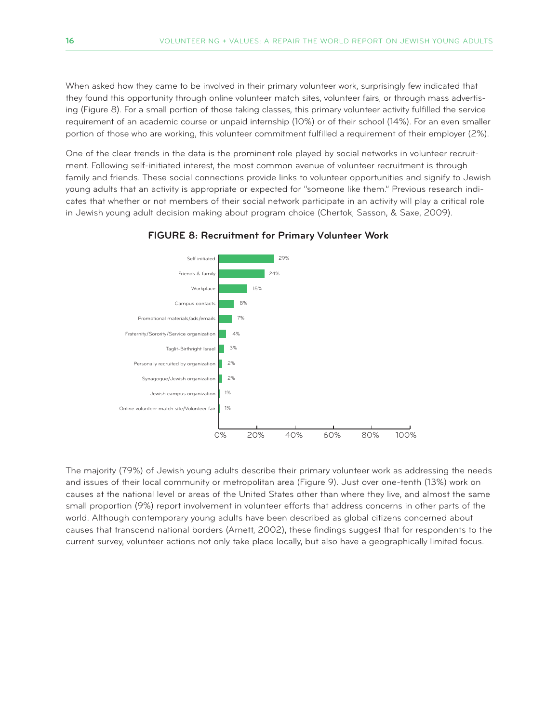When asked how they came to be involved in their primary volunteer work, surprisingly few indicated that they found this opportunity through online volunteer match sites, volunteer fairs, or through mass advertising (Figure 8). For a small portion of those taking classes, this primary volunteer activity fulfilled the service requirement of an academic course or unpaid internship (10%) or of their school (14%). For an even smaller portion of those who are working, this volunteer commitment fulfilled a requirement of their employer (2%).

One of the clear trends in the data is the prominent role played by social networks in volunteer recruitment. Following self-initiated interest, the most common avenue of volunteer recruitment is through family and friends. These social connections provide links to volunteer opportunities and signify to Jewish young adults that an activity is appropriate or expected for "someone like them." Previous research indicates that whether or not members of their social network participate in an activity will play a critical role in Jewish young adult decision making about program choice (Chertok, Sasson, & Saxe, 2009).



#### **FIGURE 8: Recruitment for Primary Volunteer Work**

The majority (79%) of Jewish young adults describe their primary volunteer work as addressing the needs and issues of their local community or metropolitan area (Figure 9). Just over one-tenth (13%) work on causes at the national level or areas of the United States other than where they live, and almost the same small proportion (9%) report involvement in volunteer efforts that address concerns in other parts of the world. Although contemporary young adults have been described as global citizens concerned about causes that transcend national borders (Arnett, 2002), these findings suggest that for respondents to the current survey, volunteer actions not only take place locally, but also have a geographically limited focus.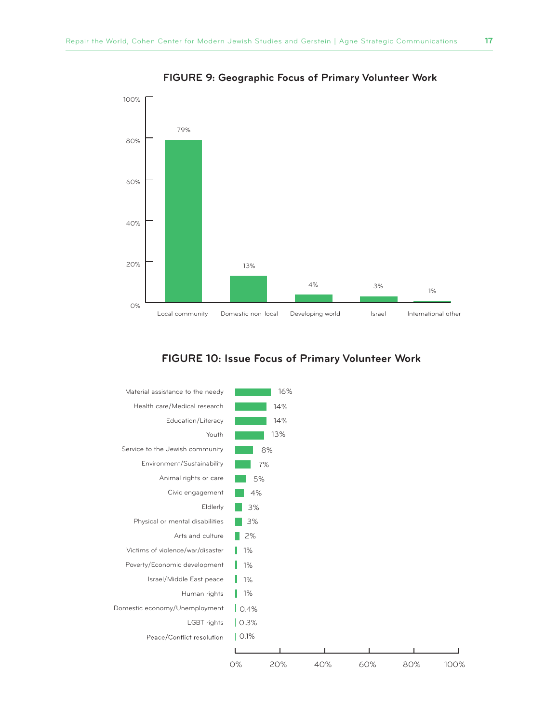

**FIGURE 9: Geographic Focus of Primary Volunteer Work**

#### **FIGURE 10: Issue Focus of Primary Volunteer Work**

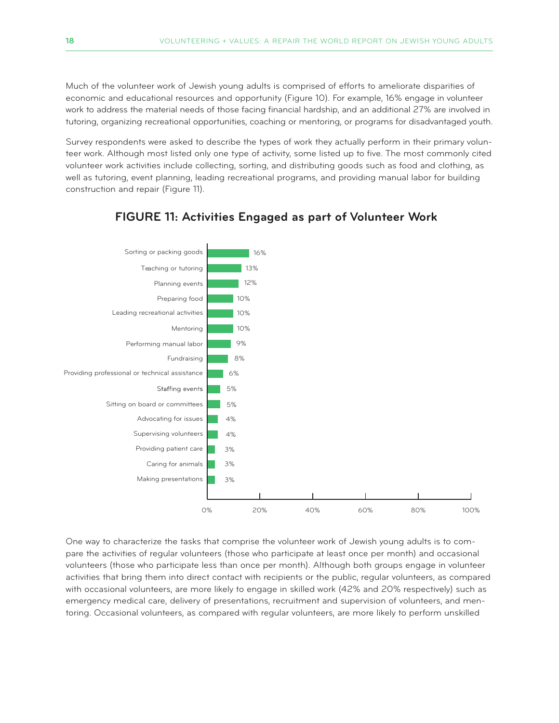Much of the volunteer work of Jewish young adults is comprised of efforts to ameliorate disparities of economic and educational resources and opportunity (Figure 10). For example, 16% engage in volunteer work to address the material needs of those facing financial hardship, and an additional 27% are involved in tutoring, organizing recreational opportunities, coaching or mentoring, or programs for disadvantaged youth.

Survey respondents were asked to describe the types of work they actually perform in their primary volunteer work. Although most listed only one type of activity, some listed up to five. The most commonly cited volunteer work activities include collecting, sorting, and distributing goods such as food and clothing, as well as tutoring, event planning, leading recreational programs, and providing manual labor for building construction and repair (Figure 11).



#### **FIGURE 11: Activities Engaged as part of Volunteer Work**

One way to characterize the tasks that comprise the volunteer work of Jewish young adults is to compare the activities of regular volunteers (those who participate at least once per month) and occasional volunteers (those who participate less than once per month). Although both groups engage in volunteer activities that bring them into direct contact with recipients or the public, regular volunteers, as compared with occasional volunteers, are more likely to engage in skilled work (42% and 20% respectively) such as emergency medical care, delivery of presentations, recruitment and supervision of volunteers, and mentoring. Occasional volunteers, as compared with regular volunteers, are more likely to perform unskilled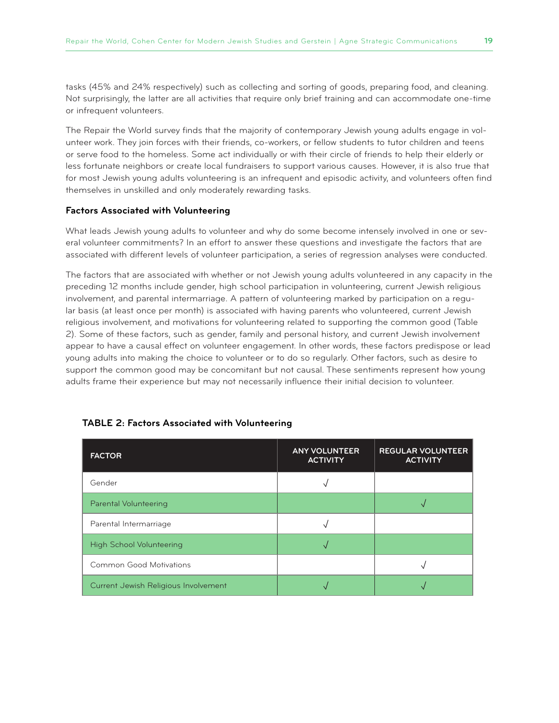tasks (45% and 24% respectively) such as collecting and sorting of goods, preparing food, and cleaning. Not surprisingly, the latter are all activities that require only brief training and can accommodate one-time or infrequent volunteers.

The Repair the World survey finds that the majority of contemporary Jewish young adults engage in volunteer work. They join forces with their friends, co-workers, or fellow students to tutor children and teens or serve food to the homeless. Some act individually or with their circle of friends to help their elderly or less fortunate neighbors or create local fundraisers to support various causes. However, it is also true that for most Jewish young adults volunteering is an infrequent and episodic activity, and volunteers often find themselves in unskilled and only moderately rewarding tasks.

#### **Factors Associated with Volunteering**

What leads Jewish young adults to volunteer and why do some become intensely involved in one or several volunteer commitments? In an effort to answer these questions and investigate the factors that are associated with different levels of volunteer participation, a series of regression analyses were conducted.

The factors that are associated with whether or not Jewish young adults volunteered in any capacity in the preceding 12 months include gender, high school participation in volunteering, current Jewish religious involvement, and parental intermarriage. A pattern of volunteering marked by participation on a regular basis (at least once per month) is associated with having parents who volunteered, current Jewish religious involvement, and motivations for volunteering related to supporting the common good (Table 2). Some of these factors, such as gender, family and personal history, and current Jewish involvement appear to have a causal effect on volunteer engagement. In other words, these factors predispose or lead young adults into making the choice to volunteer or to do so regularly. Other factors, such as desire to support the common good may be concomitant but not causal. These sentiments represent how young adults frame their experience but may not necessarily influence their initial decision to volunteer.

| <b>FACTOR</b>                        | <b>ANY VOLUNTEER</b><br><b>ACTIVITY</b> | <b>REGULAR VOLUNTEER</b><br><b>ACTIVITY</b> |
|--------------------------------------|-----------------------------------------|---------------------------------------------|
| Gender                               |                                         |                                             |
| Parental Volunteering                |                                         |                                             |
| Parental Intermarriage               |                                         |                                             |
| <b>High School Volunteering</b>      |                                         |                                             |
| <b>Common Good Motivations</b>       |                                         |                                             |
| Current Jewish Religious Involvement |                                         |                                             |

#### **TABLE 2: Factors Associated with Volunteering**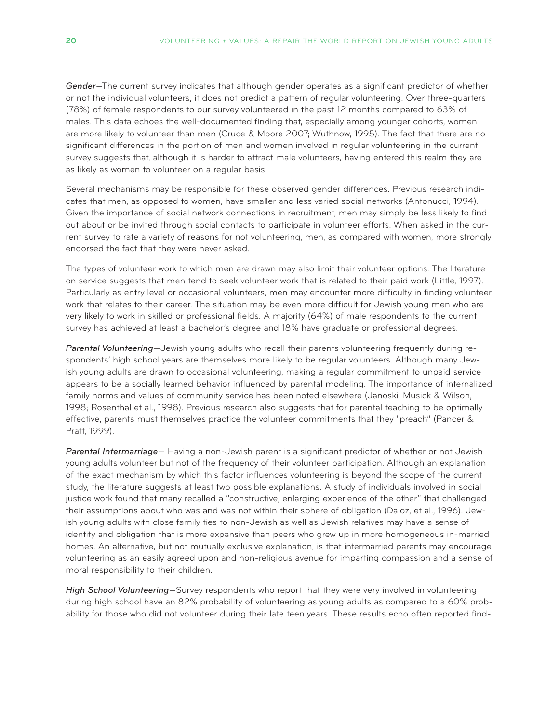*Gender*—The current survey indicates that although gender operates as a significant predictor of whether or not the individual volunteers, it does not predict a pattern of regular volunteering. Over three-quarters (78%) of female respondents to our survey volunteered in the past 12 months compared to 63% of males. This data echoes the well-documented finding that, especially among younger cohorts, women are more likely to volunteer than men (Cruce & Moore 2007; Wuthnow, 1995). The fact that there are no significant differences in the portion of men and women involved in regular volunteering in the current survey suggests that, although it is harder to attract male volunteers, having entered this realm they are as likely as women to volunteer on a regular basis.

Several mechanisms may be responsible for these observed gender differences. Previous research indicates that men, as opposed to women, have smaller and less varied social networks (Antonucci, 1994). Given the importance of social network connections in recruitment, men may simply be less likely to find out about or be invited through social contacts to participate in volunteer efforts. When asked in the current survey to rate a variety of reasons for not volunteering, men, as compared with women, more strongly endorsed the fact that they were never asked.

The types of volunteer work to which men are drawn may also limit their volunteer options. The literature on service suggests that men tend to seek volunteer work that is related to their paid work (Little, 1997). Particularly as entry level or occasional volunteers, men may encounter more difficulty in finding volunteer work that relates to their career. The situation may be even more difficult for Jewish young men who are very likely to work in skilled or professional fields. A majority (64%) of male respondents to the current survey has achieved at least a bachelor's degree and 18% have graduate or professional degrees.

*Parental Volunteering*—Jewish young adults who recall their parents volunteering frequently during respondents' high school years are themselves more likely to be regular volunteers. Although many Jewish young adults are drawn to occasional volunteering, making a regular commitment to unpaid service appears to be a socially learned behavior influenced by parental modeling. The importance of internalized family norms and values of community service has been noted elsewhere (Janoski, Musick & Wilson, 1998; Rosenthal et al., 1998). Previous research also suggests that for parental teaching to be optimally effective, parents must themselves practice the volunteer commitments that they "preach" (Pancer & Pratt, 1999).

*Parental Intermarriage*— Having a non-Jewish parent is a significant predictor of whether or not Jewish young adults volunteer but not of the frequency of their volunteer participation. Although an explanation of the exact mechanism by which this factor influences volunteering is beyond the scope of the current study, the literature suggests at least two possible explanations. A study of individuals involved in social justice work found that many recalled a "constructive, enlarging experience of the other" that challenged their assumptions about who was and was not within their sphere of obligation (Daloz, et al., 1996). Jewish young adults with close family ties to non-Jewish as well as Jewish relatives may have a sense of identity and obligation that is more expansive than peers who grew up in more homogeneous in-married homes. An alternative, but not mutually exclusive explanation, is that intermarried parents may encourage volunteering as an easily agreed upon and non-religious avenue for imparting compassion and a sense of moral responsibility to their children.

*High School Volunteering*—Survey respondents who report that they were very involved in volunteering during high school have an 82% probability of volunteering as young adults as compared to a 60% probability for those who did not volunteer during their late teen years. These results echo often reported find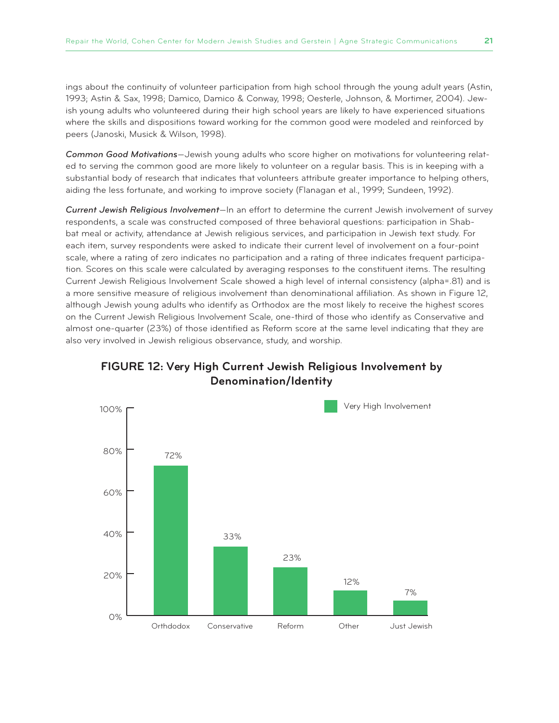ings about the continuity of volunteer participation from high school through the young adult years (Astin, 1993; Astin & Sax, 1998; Damico, Damico & Conway, 1998; Oesterle, Johnson, & Mortimer, 2004). Jewish young adults who volunteered during their high school years are likely to have experienced situations where the skills and dispositions toward working for the common good were modeled and reinforced by peers (Janoski, Musick & Wilson, 1998).

*Common Good Motivations*—Jewish young adults who score higher on motivations for volunteering related to serving the common good are more likely to volunteer on a regular basis. This is in keeping with a substantial body of research that indicates that volunteers attribute greater importance to helping others, aiding the less fortunate, and working to improve society (Flanagan et al., 1999; Sundeen, 1992).

*Current Jewish Religious Involvement*—In an effort to determine the current Jewish involvement of survey respondents, a scale was constructed composed of three behavioral questions: participation in Shabbat meal or activity, attendance at Jewish religious services, and participation in Jewish text study. For each item, survey respondents were asked to indicate their current level of involvement on a four-point scale, where a rating of zero indicates no participation and a rating of three indicates frequent participation. Scores on this scale were calculated by averaging responses to the constituent items. The resulting Current Jewish Religious Involvement Scale showed a high level of internal consistency (alpha=.81) and is a more sensitive measure of religious involvement than denominational affiliation. As shown in Figure 12, although Jewish young adults who identify as Orthodox are the most likely to receive the highest scores on the Current Jewish Religious Involvement Scale, one-third of those who identify as Conservative and almost one-quarter (23%) of those identified as Reform score at the same level indicating that they are also very involved in Jewish religious observance, study, and worship.



#### **FIGURE 12: Very High Current Jewish Religious Involvement by Denomination/Identity**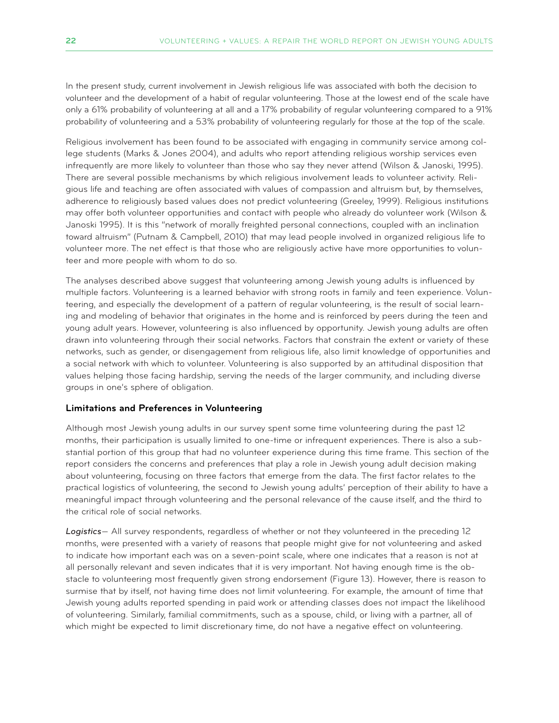In the present study, current involvement in Jewish religious life was associated with both the decision to volunteer and the development of a habit of regular volunteering. Those at the lowest end of the scale have only a 61% probability of volunteering at all and a 17% probability of regular volunteering compared to a 91% probability of volunteering and a 53% probability of volunteering regularly for those at the top of the scale.

Religious involvement has been found to be associated with engaging in community service among college students (Marks & Jones 2004), and adults who report attending religious worship services even infrequently are more likely to volunteer than those who say they never attend (Wilson & Janoski, 1995). There are several possible mechanisms by which religious involvement leads to volunteer activity. Religious life and teaching are often associated with values of compassion and altruism but, by themselves, adherence to religiously based values does not predict volunteering (Greeley, 1999). Religious institutions may offer both volunteer opportunities and contact with people who already do volunteer work (Wilson & Janoski 1995). It is this "network of morally freighted personal connections, coupled with an inclination toward altruism" (Putnam & Campbell, 2010) that may lead people involved in organized religious life to volunteer more. The net effect is that those who are religiously active have more opportunities to volunteer and more people with whom to do so.

The analyses described above suggest that volunteering among Jewish young adults is influenced by multiple factors. Volunteering is a learned behavior with strong roots in family and teen experience. Volunteering, and especially the development of a pattern of regular volunteering, is the result of social learning and modeling of behavior that originates in the home and is reinforced by peers during the teen and young adult years. However, volunteering is also influenced by opportunity. Jewish young adults are often drawn into volunteering through their social networks. Factors that constrain the extent or variety of these networks, such as gender, or disengagement from religious life, also limit knowledge of opportunities and a social network with which to volunteer. Volunteering is also supported by an attitudinal disposition that values helping those facing hardship, serving the needs of the larger community, and including diverse groups in one's sphere of obligation.

#### **Limitations and Preferences in Volunteering**

Although most Jewish young adults in our survey spent some time volunteering during the past 12 months, their participation is usually limited to one-time or infrequent experiences. There is also a substantial portion of this group that had no volunteer experience during this time frame. This section of the report considers the concerns and preferences that play a role in Jewish young adult decision making about volunteering, focusing on three factors that emerge from the data. The first factor relates to the practical logistics of volunteering, the second to Jewish young adults' perception of their ability to have a meaningful impact through volunteering and the personal relevance of the cause itself, and the third to the critical role of social networks.

*Logistics*— All survey respondents, regardless of whether or not they volunteered in the preceding 12 months, were presented with a variety of reasons that people might give for not volunteering and asked to indicate how important each was on a seven-point scale, where one indicates that a reason is not at all personally relevant and seven indicates that it is very important. Not having enough time is the obstacle to volunteering most frequently given strong endorsement (Figure 13). However, there is reason to surmise that by itself, not having time does not limit volunteering. For example, the amount of time that Jewish young adults reported spending in paid work or attending classes does not impact the likelihood of volunteering. Similarly, familial commitments, such as a spouse, child, or living with a partner, all of which might be expected to limit discretionary time, do not have a negative effect on volunteering.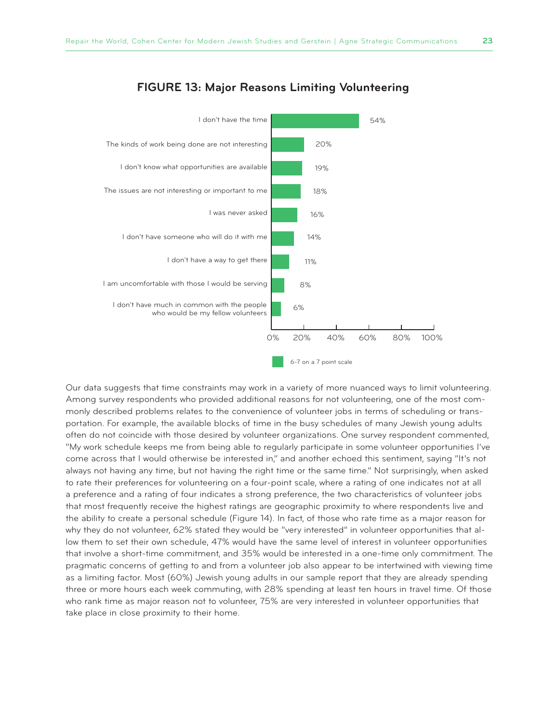

#### **FIGURE 13: Major Reasons Limiting Volunteering**

Our data suggests that time constraints may work in a variety of more nuanced ways to limit volunteering. Among survey respondents who provided additional reasons for not volunteering, one of the most commonly described problems relates to the convenience of volunteer jobs in terms of scheduling or transportation. For example, the available blocks of time in the busy schedules of many Jewish young adults often do not coincide with those desired by volunteer organizations. One survey respondent commented, "My work schedule keeps me from being able to regularly participate in some volunteer opportunities I've come across that I would otherwise be interested in," and another echoed this sentiment, saying "It's not always not having any time, but not having the right time or the same time." Not surprisingly, when asked to rate their preferences for volunteering on a four-point scale, where a rating of one indicates not at all a preference and a rating of four indicates a strong preference, the two characteristics of volunteer jobs that most frequently receive the highest ratings are geographic proximity to where respondents live and the ability to create a personal schedule (Figure 14). In fact, of those who rate time as a major reason for why they do not volunteer, 62% stated they would be "very interested" in volunteer opportunities that allow them to set their own schedule, 47% would have the same level of interest in volunteer opportunities that involve a short-time commitment, and 35% would be interested in a one-time only commitment. The pragmatic concerns of getting to and from a volunteer job also appear to be intertwined with viewing time as a limiting factor. Most (60%) Jewish young adults in our sample report that they are already spending three or more hours each week commuting, with 28% spending at least ten hours in travel time. Of those who rank time as major reason not to volunteer, 75% are very interested in volunteer opportunities that take place in close proximity to their home.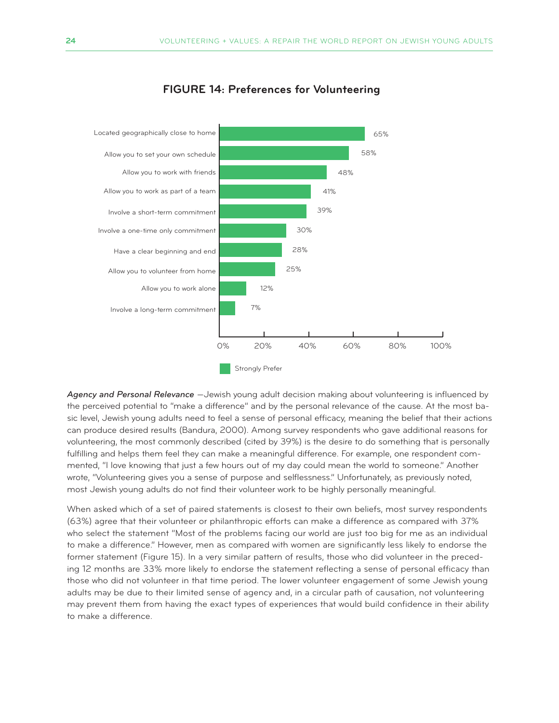

#### **FIGURE 14: Preferences for Volunteering**

*Agency and Personal Relevance* —Jewish young adult decision making about volunteering is influenced by the perceived potential to "make a difference" and by the personal relevance of the cause. At the most basic level, Jewish young adults need to feel a sense of personal efficacy, meaning the belief that their actions can produce desired results (Bandura, 2000). Among survey respondents who gave additional reasons for volunteering, the most commonly described (cited by 39%) is the desire to do something that is personally fulfilling and helps them feel they can make a meaningful difference. For example, one respondent commented, "I love knowing that just a few hours out of my day could mean the world to someone." Another wrote, "Volunteering gives you a sense of purpose and selflessness." Unfortunately, as previously noted, most Jewish young adults do not find their volunteer work to be highly personally meaningful.

When asked which of a set of paired statements is closest to their own beliefs, most survey respondents (63%) agree that their volunteer or philanthropic efforts can make a difference as compared with 37% who select the statement "Most of the problems facing our world are just too big for me as an individual to make a difference." However, men as compared with women are significantly less likely to endorse the former statement (Figure 15). In a very similar pattern of results, those who did volunteer in the preceding 12 months are 33% more likely to endorse the statement reflecting a sense of personal efficacy than those who did not volunteer in that time period. The lower volunteer engagement of some Jewish young adults may be due to their limited sense of agency and, in a circular path of causation, not volunteering may prevent them from having the exact types of experiences that would build confidence in their ability to make a difference.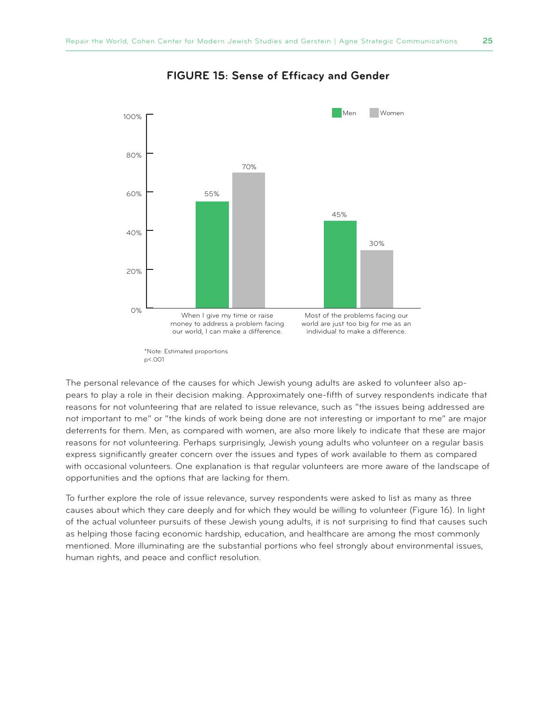

#### **FIGURE 15: Sense of Efficacy and Gender**

The personal relevance of the causes for which Jewish young adults are asked to volunteer also appears to play a role in their decision making. Approximately one-fifth of survey respondents indicate that reasons for not volunteering that are related to issue relevance, such as "the issues being addressed are not important to me" or "the kinds of work being done are not interesting or important to me" are major deterrents for them. Men, as compared with women, are also more likely to indicate that these are major reasons for not volunteering. Perhaps surprisingly, Jewish young adults who volunteer on a regular basis express significantly greater concern over the issues and types of work available to them as compared with occasional volunteers. One explanation is that regular volunteers are more aware of the landscape of opportunities and the options that are lacking for them.

To further explore the role of issue relevance, survey respondents were asked to list as many as three causes about which they care deeply and for which they would be willing to volunteer (Figure 16). In light of the actual volunteer pursuits of these Jewish young adults, it is not surprising to find that causes such as helping those facing economic hardship, education, and healthcare are among the most commonly mentioned. More illuminating are the substantial portions who feel strongly about environmental issues, human rights, and peace and conflict resolution.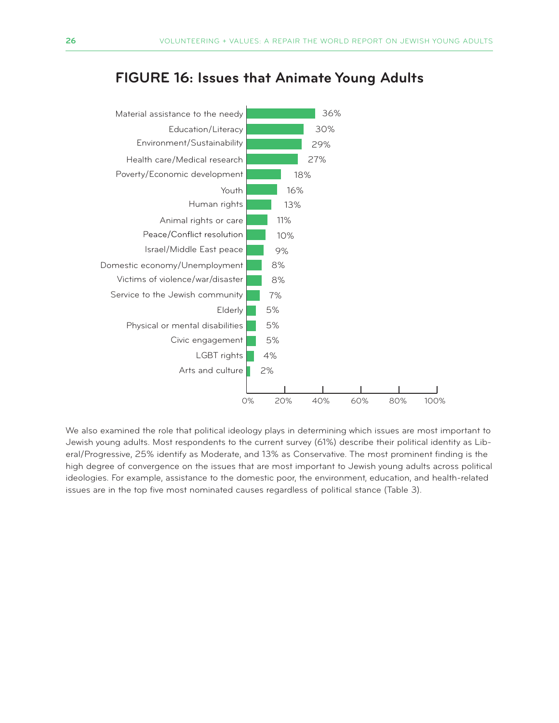# **FIGURE 16: Issues that Animate Young Adults**



We also examined the role that political ideology plays in determining which issues are most important to Jewish young adults. Most respondents to the current survey (61%) describe their political identity as Liberal/Progressive, 25% identify as Moderate, and 13% as Conservative. The most prominent finding is the high degree of convergence on the issues that are most important to Jewish young adults across political ideologies. For example, assistance to the domestic poor, the environment, education, and health-related issues are in the top five most nominated causes regardless of political stance (Table 3).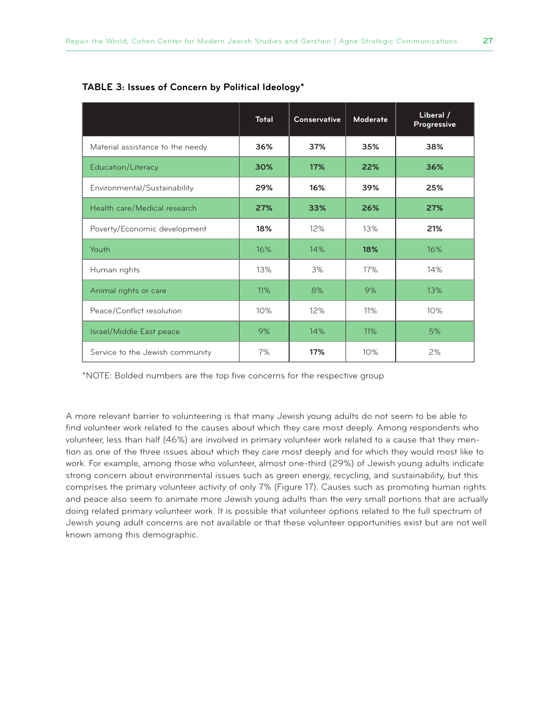|                                  | <b>Total</b> | <b>Conservative</b> | <b>Moderate</b> | Liberal /<br>Progressive |
|----------------------------------|--------------|---------------------|-----------------|--------------------------|
| Material assistance to the needy | 36%          | 37%                 | 35%             | 38%                      |
| Education/Literacy               | 30%          | 17%                 | 22%             | 36%                      |
| Environmental/Sustainability     | 29%          | 16%                 | 39%             | 25%                      |
| Health care/Medical research     | 27%          | 33%                 | 26%             | 27%                      |
| Poverty/Economic development     | 18%          | 12%                 | 13%             | 21%                      |
| Youth                            | 16%          | 14%                 | 18%             | 16%                      |
| Human rights                     | 13%          | 3%                  | 17%             | 14%                      |
| Animal rights or care            | 11%          | 8%                  | 9%              | 13%                      |
| Peace/Conflict resolution        | 10%          | 12%                 | 11%             | 10%                      |
| Israel/Middle East peace         | 9%           | 14%                 | 11%             | 5%                       |
| Service to the Jewish community  | 7%           | 17%                 | 10%             | 2%                       |

#### **TABLE 3: Issues of Concern by Political Ideology\***

\*NOTE: Bolded numbers are the top five concerns for the respective group

A more relevant barrier to volunteering is that many Jewish young adults do not seem to be able to find volunteer work related to the causes about which they care most deeply. Among respondents who volunteer, less than half (46%) are involved in primary volunteer work related to a cause that they mention as one of the three issues about which they care most deeply and for which they would most like to work. For example, among those who volunteer, almost one-third (29%) of Jewish young adults indicate strong concern about environmental issues such as green energy, recycling, and sustainability, but this comprises the primary volunteer activity of only 7% (Figure 17). Causes such as promoting human rights and peace also seem to animate more Jewish young adults than the very small portions that are actually doing related primary volunteer work. It is possible that volunteer options related to the full spectrum of Jewish young adult concerns are not available or that these volunteer opportunities exist but are not well known among this demographic.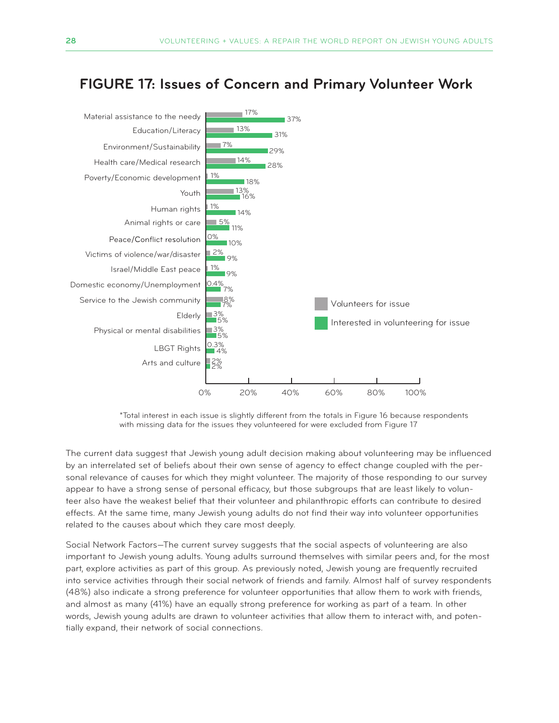

# **FIGURE 17: Issues of Concern and Primary Volunteer Work**

\*Total interest in each issue is slightly different from the totals in Figure 16 because respondents with missing data for the issues they volunteered for were excluded from Figure 17

The current data suggest that Jewish young adult decision making about volunteering may be influenced by an interrelated set of beliefs about their own sense of agency to effect change coupled with the personal relevance of causes for which they might volunteer. The majority of those responding to our survey appear to have a strong sense of personal efficacy, but those subgroups that are least likely to volunteer also have the weakest belief that their volunteer and philanthropic efforts can contribute to desired effects. At the same time, many Jewish young adults do not find their way into volunteer opportunities related to the causes about which they care most deeply.

Social Network Factors—The current survey suggests that the social aspects of volunteering are also important to Jewish young adults. Young adults surround themselves with similar peers and, for the most part, explore activities as part of this group. As previously noted, Jewish young are frequently recruited into service activities through their social network of friends and family. Almost half of survey respondents (48%) also indicate a strong preference for volunteer opportunities that allow them to work with friends, and almost as many (41%) have an equally strong preference for working as part of a team. In other words, Jewish young adults are drawn to volunteer activities that allow them to interact with, and potentially expand, their network of social connections.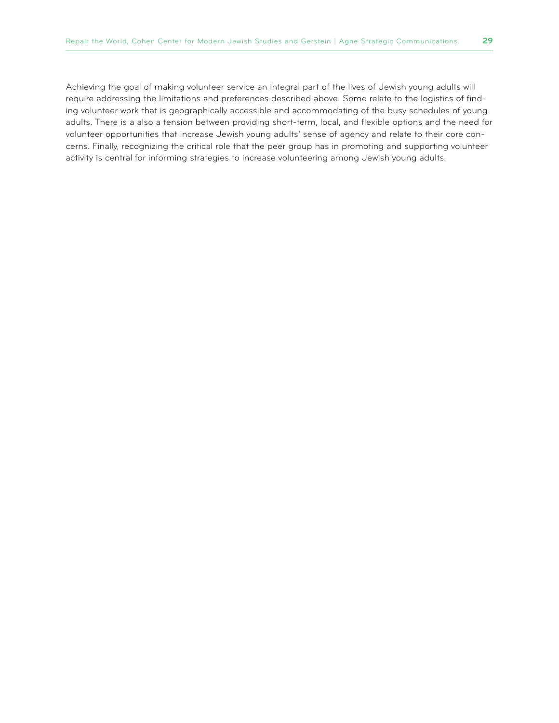Achieving the goal of making volunteer service an integral part of the lives of Jewish young adults will require addressing the limitations and preferences described above. Some relate to the logistics of finding volunteer work that is geographically accessible and accommodating of the busy schedules of young adults. There is a also a tension between providing short-term, local, and flexible options and the need for volunteer opportunities that increase Jewish young adults' sense of agency and relate to their core concerns. Finally, recognizing the critical role that the peer group has in promoting and supporting volunteer activity is central for informing strategies to increase volunteering among Jewish young adults.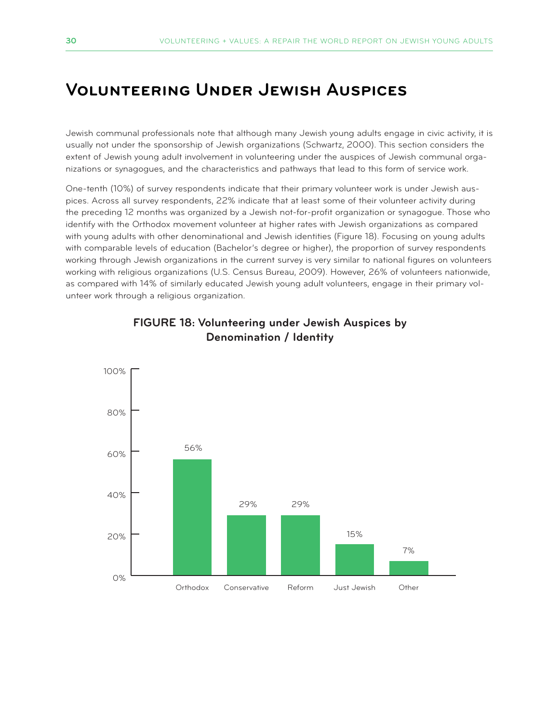# **Volunteering Under Jewish Auspices**

Jewish communal professionals note that although many Jewish young adults engage in civic activity, it is usually not under the sponsorship of Jewish organizations (Schwartz, 2000). This section considers the extent of Jewish young adult involvement in volunteering under the auspices of Jewish communal organizations or synagogues, and the characteristics and pathways that lead to this form of service work.

One-tenth (10%) of survey respondents indicate that their primary volunteer work is under Jewish auspices. Across all survey respondents, 22% indicate that at least some of their volunteer activity during the preceding 12 months was organized by a Jewish not-for-profit organization or synagogue. Those who identify with the Orthodox movement volunteer at higher rates with Jewish organizations as compared with young adults with other denominational and Jewish identities (Figure 18). Focusing on young adults with comparable levels of education (Bachelor's degree or higher), the proportion of survey respondents working through Jewish organizations in the current survey is very similar to national figures on volunteers working with religious organizations (U.S. Census Bureau, 2009). However, 26% of volunteers nationwide, as compared with 14% of similarly educated Jewish young adult volunteers, engage in their primary volunteer work through a religious organization.



#### **FIGURE 18: Volunteering under Jewish Auspices by Denomination / Identity**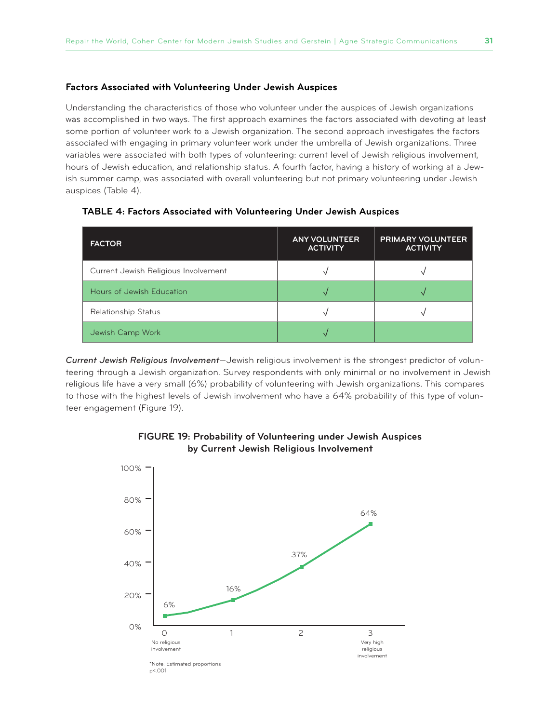#### **Factors Associated with Volunteering Under Jewish Auspices**

Understanding the characteristics of those who volunteer under the auspices of Jewish organizations was accomplished in two ways. The first approach examines the factors associated with devoting at least some portion of volunteer work to a Jewish organization. The second approach investigates the factors associated with engaging in primary volunteer work under the umbrella of Jewish organizations. Three variables were associated with both types of volunteering: current level of Jewish religious involvement, hours of Jewish education, and relationship status. A fourth factor, having a history of working at a Jewish summer camp, was associated with overall volunteering but not primary volunteering under Jewish auspices (Table 4).

| <b>FACTOR</b>                        | <b>ANY VOLUNTEER</b><br><b>ACTIVITY</b> | <b>PRIMARY VOLUNTEER</b><br><b>ACTIVITY</b> |
|--------------------------------------|-----------------------------------------|---------------------------------------------|
| Current Jewish Religious Involvement |                                         |                                             |
| Hours of Jewish Education            |                                         |                                             |
| Relationship Status                  |                                         |                                             |
| Jewish Camp Work                     |                                         |                                             |

#### **TABLE 4: Factors Associated with Volunteering Under Jewish Auspices**

*Current Jewish Religious Involvement*—Jewish religious involvement is the strongest predictor of volunteering through a Jewish organization. Survey respondents with only minimal or no involvement in Jewish religious life have a very small (6%) probability of volunteering with Jewish organizations. This compares to those with the highest levels of Jewish involvement who have a 64% probability of this type of volunteer engagement (Figure 19).



#### **FIGURE 19: Probability of Volunteering under Jewish Auspices by Current Jewish Religious Involvement**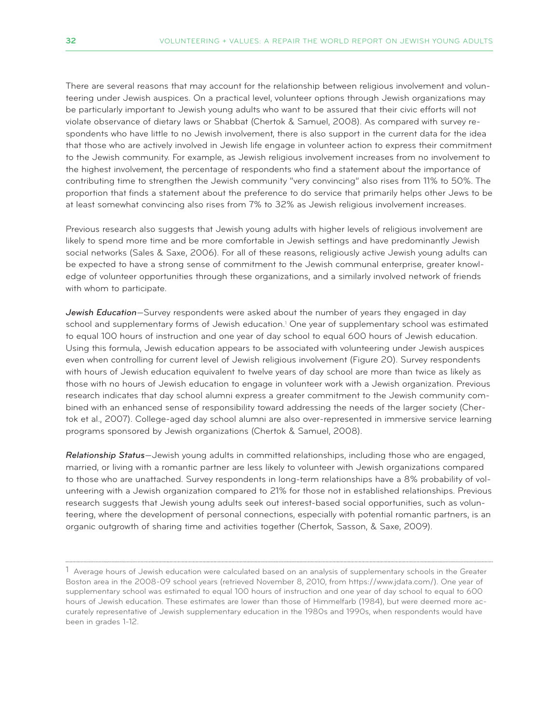There are several reasons that may account for the relationship between religious involvement and volunteering under Jewish auspices. On a practical level, volunteer options through Jewish organizations may be particularly important to Jewish young adults who want to be assured that their civic efforts will not violate observance of dietary laws or Shabbat (Chertok & Samuel, 2008). As compared with survey respondents who have little to no Jewish involvement, there is also support in the current data for the idea that those who are actively involved in Jewish life engage in volunteer action to express their commitment to the Jewish community. For example, as Jewish religious involvement increases from no involvement to the highest involvement, the percentage of respondents who find a statement about the importance of contributing time to strengthen the Jewish community "very convincing" also rises from 11% to 50%. The proportion that finds a statement about the preference to do service that primarily helps other Jews to be at least somewhat convincing also rises from 7% to 32% as Jewish religious involvement increases.

Previous research also suggests that Jewish young adults with higher levels of religious involvement are likely to spend more time and be more comfortable in Jewish settings and have predominantly Jewish social networks (Sales & Saxe, 2006). For all of these reasons, religiously active Jewish young adults can be expected to have a strong sense of commitment to the Jewish communal enterprise, greater knowledge of volunteer opportunities through these organizations, and a similarly involved network of friends with whom to participate.

*Jewish Education*—Survey respondents were asked about the number of years they engaged in day school and supplementary forms of Jewish education.<sup>1</sup> One year of supplementary school was estimated to equal 100 hours of instruction and one year of day school to equal 600 hours of Jewish education. Using this formula, Jewish education appears to be associated with volunteering under Jewish auspices even when controlling for current level of Jewish religious involvement (Figure 20). Survey respondents with hours of Jewish education equivalent to twelve years of day school are more than twice as likely as those with no hours of Jewish education to engage in volunteer work with a Jewish organization. Previous research indicates that day school alumni express a greater commitment to the Jewish community combined with an enhanced sense of responsibility toward addressing the needs of the larger society (Chertok et al., 2007). College-aged day school alumni are also over-represented in immersive service learning programs sponsored by Jewish organizations (Chertok & Samuel, 2008).

*Relationship Status*—Jewish young adults in committed relationships, including those who are engaged, married, or living with a romantic partner are less likely to volunteer with Jewish organizations compared to those who are unattached. Survey respondents in long-term relationships have a 8% probability of volunteering with a Jewish organization compared to 21% for those not in established relationships. Previous research suggests that Jewish young adults seek out interest-based social opportunities, such as volunteering, where the development of personal connections, especially with potential romantic partners, is an organic outgrowth of sharing time and activities together (Chertok, Sasson, & Saxe, 2009).

 $1$  Average hours of Jewish education were calculated based on an analysis of supplementary schools in the Greater Boston area in the 2008-09 school years (retrieved November 8, 2010, from https://www.jdata.com/). One year of supplementary school was estimated to equal 100 hours of instruction and one year of day school to equal to 600 hours of Jewish education. These estimates are lower than those of Himmelfarb (1984), but were deemed more accurately representative of Jewish supplementary education in the 1980s and 1990s, when respondents would have been in grades 1-12.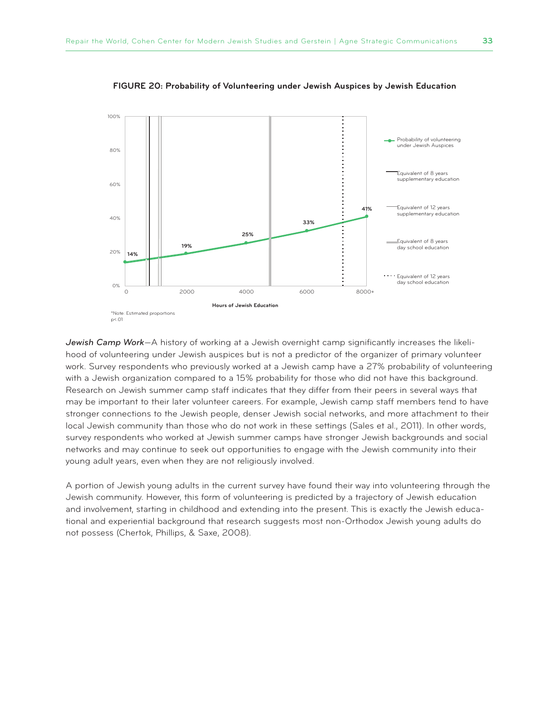

**FIGURE 20: Probability of Volunteering under Jewish Auspices by Jewish Education**

*Jewish Camp Work*—A history of working at a Jewish overnight camp significantly increases the likelihood of volunteering under Jewish auspices but is not a predictor of the organizer of primary volunteer work. Survey respondents who previously worked at a Jewish camp have a 27% probability of volunteering with a Jewish organization compared to a 15% probability for those who did not have this background. Research on Jewish summer camp staff indicates that they differ from their peers in several ways that may be important to their later volunteer careers. For example, Jewish camp staff members tend to have stronger connections to the Jewish people, denser Jewish social networks, and more attachment to their local Jewish community than those who do not work in these settings (Sales et al., 2011). In other words, survey respondents who worked at Jewish summer camps have stronger Jewish backgrounds and social networks and may continue to seek out opportunities to engage with the Jewish community into their young adult years, even when they are not religiously involved.

A portion of Jewish young adults in the current survey have found their way into volunteering through the Jewish community. However, this form of volunteering is predicted by a trajectory of Jewish education and involvement, starting in childhood and extending into the present. This is exactly the Jewish educational and experiential background that research suggests most non-Orthodox Jewish young adults do not possess (Chertok, Phillips, & Saxe, 2008).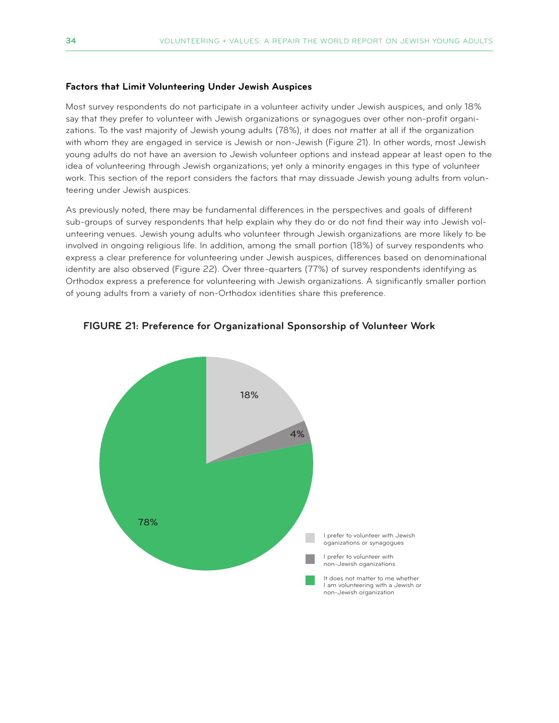#### **Factors that Limit Volunteering Under Jewish Auspices**

Most survey respondents do not participate in a volunteer activity under Jewish auspices, and only 18% say that they prefer to volunteer with Jewish organizations or synagogues over other non-profit organizations. To the vast majority of Jewish young adults (78%), it does not matter at all if the organization with whom they are engaged in service is Jewish or non-Jewish (Figure 21). In other words, most Jewish young adults do not have an aversion to Jewish volunteer options and instead appear at least open to the idea of volunteering through Jewish organizations; yet only a minority engages in this type of volunteer work. This section of the report considers the factors that may dissuade Jewish young adults from volunteering under Jewish auspices.

As previously noted, there may be fundamental differences in the perspectives and goals of different sub-groups of survey respondents that help explain why they do or do not find their way into Jewish volunteering venues. Jewish young adults who volunteer through Jewish organizations are more likely to be involved in ongoing religious life. In addition, among the small portion (18%) of survey respondents who express a clear preference for volunteering under Jewish auspices, differences based on denominational identity are also observed (Figure 22). Over three-quarters (77%) of survey respondents identifying as Orthodox express a preference for volunteering with Jewish organizations. A significantly smaller portion of young adults from a variety of non-Orthodox identities share this preference.



**FIGURE 21: Preference for Organizational Sponsorship of Volunteer Work**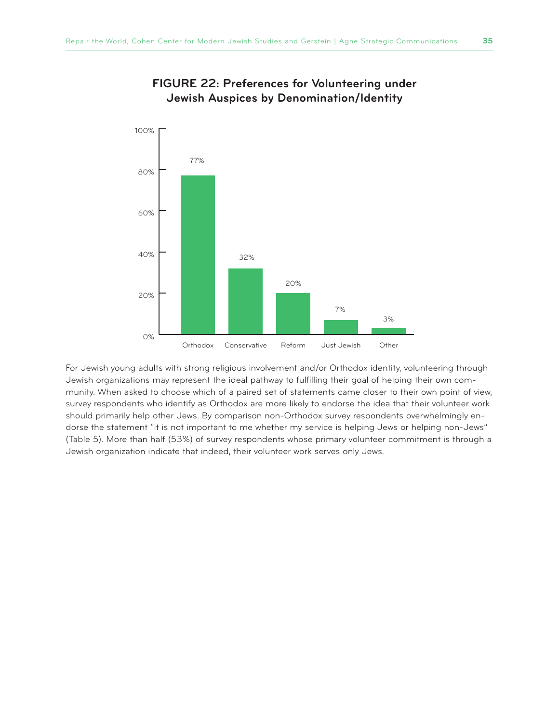

#### **FIGURE 22: Preferences for Volunteering under Jewish Auspices by Denomination/Identity**

For Jewish young adults with strong religious involvement and/or Orthodox identity, volunteering through Jewish organizations may represent the ideal pathway to fulfilling their goal of helping their own community. When asked to choose which of a paired set of statements came closer to their own point of view, survey respondents who identify as Orthodox are more likely to endorse the idea that their volunteer work should primarily help other Jews. By comparison non-Orthodox survey respondents overwhelmingly endorse the statement "it is not important to me whether my service is helping Jews or helping non-Jews" (Table 5). More than half (53%) of survey respondents whose primary volunteer commitment is through a Jewish organization indicate that indeed, their volunteer work serves only Jews.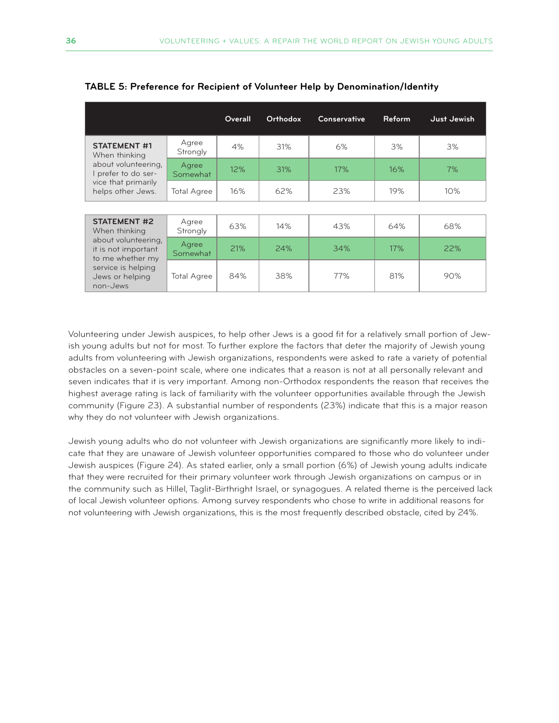|                                                                                                                                                             |                    | Overall | Orthodox | <b>Conservative</b> | <b>Reform</b> | Just Jewish |
|-------------------------------------------------------------------------------------------------------------------------------------------------------------|--------------------|---------|----------|---------------------|---------------|-------------|
| <b>STATEMENT #1</b><br>When thinking                                                                                                                        | Agree<br>Strongly  | 4%      | 31%      | 6%                  | 3%            | 3%          |
| about volunteering,<br>I prefer to do ser-                                                                                                                  | Agree<br>Somewhat  | 12%     | 31%      | 17%                 | 16%           | 7%          |
| vice that primarily<br>helps other Jews.                                                                                                                    | <b>Total Agree</b> | 16%     | 62%      | 23%                 | 19%           | 10%         |
|                                                                                                                                                             |                    |         |          |                     |               |             |
| <b>STATEMENT #2</b><br>When thinking<br>about volunteering.<br>it is not important<br>to me whether my<br>service is helping<br>Jews or helping<br>non-Jews | Agree<br>Strongly  | 63%     | 14%      | 43%                 | 64%           | 68%         |
|                                                                                                                                                             | Agree<br>Somewhat  | 21%     | 24%      | 34%                 | 17%           | 22%         |
|                                                                                                                                                             | <b>Total Agree</b> | 84%     | 38%      | 77%                 | 81%           | 90%         |

**TABLE 5: Preference for Recipient of Volunteer Help by Denomination/Identity**

Volunteering under Jewish auspices, to help other Jews is a good fit for a relatively small portion of Jewish young adults but not for most. To further explore the factors that deter the majority of Jewish young adults from volunteering with Jewish organizations, respondents were asked to rate a variety of potential obstacles on a seven-point scale, where one indicates that a reason is not at all personally relevant and seven indicates that it is very important. Among non-Orthodox respondents the reason that receives the highest average rating is lack of familiarity with the volunteer opportunities available through the Jewish community (Figure 23). A substantial number of respondents (23%) indicate that this is a major reason why they do not volunteer with Jewish organizations.

Jewish young adults who do not volunteer with Jewish organizations are significantly more likely to indicate that they are unaware of Jewish volunteer opportunities compared to those who do volunteer under Jewish auspices (Figure 24). As stated earlier, only a small portion (6%) of Jewish young adults indicate that they were recruited for their primary volunteer work through Jewish organizations on campus or in the community such as Hillel, Taglit-Birthright Israel, or synagogues. A related theme is the perceived lack of local Jewish volunteer options. Among survey respondents who chose to write in additional reasons for not volunteering with Jewish organizations, this is the most frequently described obstacle, cited by 24%.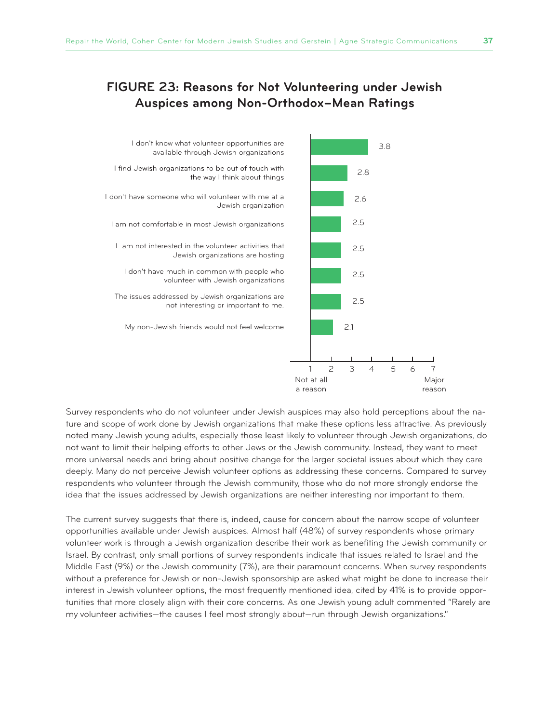# **FIGURE 23: Reasons for Not Volunteering under Jewish Auspices among Non-Orthodox–Mean Ratings**



Survey respondents who do not volunteer under Jewish auspices may also hold perceptions about the nature and scope of work done by Jewish organizations that make these options less attractive. As previously noted many Jewish young adults, especially those least likely to volunteer through Jewish organizations, do not want to limit their helping efforts to other Jews or the Jewish community. Instead, they want to meet more universal needs and bring about positive change for the larger societal issues about which they care deeply. Many do not perceive Jewish volunteer options as addressing these concerns. Compared to survey respondents who volunteer through the Jewish community, those who do not more strongly endorse the idea that the issues addressed by Jewish organizations are neither interesting nor important to them.

The current survey suggests that there is, indeed, cause for concern about the narrow scope of volunteer opportunities available under Jewish auspices. Almost half (48%) of survey respondents whose primary volunteer work is through a Jewish organization describe their work as benefiting the Jewish community or Israel. By contrast, only small portions of survey respondents indicate that issues related to Israel and the Middle East (9%) or the Jewish community (7%), are their paramount concerns. When survey respondents without a preference for Jewish or non-Jewish sponsorship are asked what might be done to increase their interest in Jewish volunteer options, the most frequently mentioned idea, cited by 41% is to provide opportunities that more closely align with their core concerns. As one Jewish young adult commented "Rarely are my volunteer activities—the causes I feel most strongly about—run through Jewish organizations."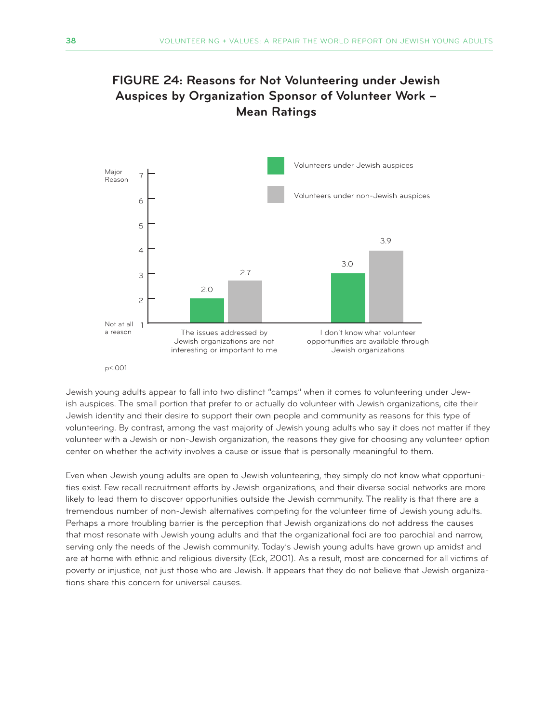# **FIGURE 24: Reasons for Not Volunteering under Jewish Auspices by Organization Sponsor of Volunteer Work – Mean Ratings**



#### p<.001

Jewish young adults appear to fall into two distinct "camps" when it comes to volunteering under Jewish auspices. The small portion that prefer to or actually do volunteer with Jewish organizations, cite their Jewish identity and their desire to support their own people and community as reasons for this type of volunteering. By contrast, among the vast majority of Jewish young adults who say it does not matter if they volunteer with a Jewish or non-Jewish organization, the reasons they give for choosing any volunteer option center on whether the activity involves a cause or issue that is personally meaningful to them.

Even when Jewish young adults are open to Jewish volunteering, they simply do not know what opportunities exist. Few recall recruitment efforts by Jewish organizations, and their diverse social networks are more likely to lead them to discover opportunities outside the Jewish community. The reality is that there are a tremendous number of non-Jewish alternatives competing for the volunteer time of Jewish young adults. Perhaps a more troubling barrier is the perception that Jewish organizations do not address the causes that most resonate with Jewish young adults and that the organizational foci are too parochial and narrow, serving only the needs of the Jewish community. Today's Jewish young adults have grown up amidst and are at home with ethnic and religious diversity (Eck, 2001). As a result, most are concerned for all victims of poverty or injustice, not just those who are Jewish. It appears that they do not believe that Jewish organizations share this concern for universal causes.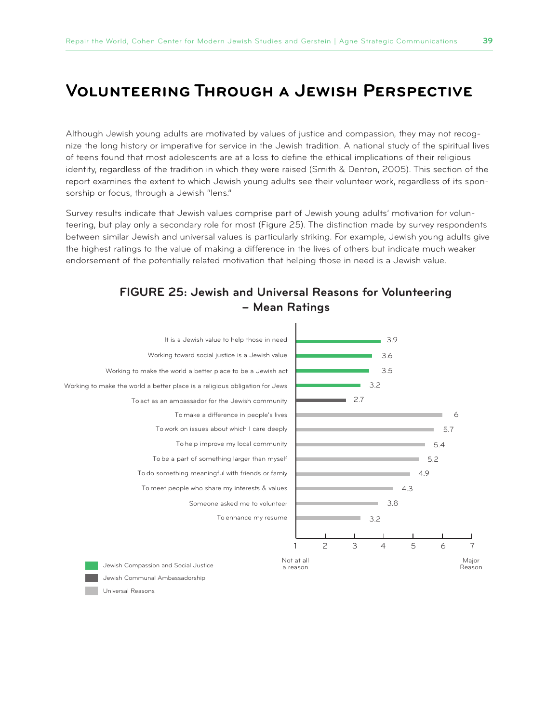# **Volunteering Through a Jewish Perspective**

Although Jewish young adults are motivated by values of justice and compassion, they may not recognize the long history or imperative for service in the Jewish tradition. A national study of the spiritual lives of teens found that most adolescents are at a loss to define the ethical implications of their religious identity, regardless of the tradition in which they were raised (Smith & Denton, 2005). This section of the report examines the extent to which Jewish young adults see their volunteer work, regardless of its sponsorship or focus, through a Jewish "lens."

Survey results indicate that Jewish values comprise part of Jewish young adults' motivation for volunteering, but play only a secondary role for most (Figure 25). The distinction made by survey respondents between similar Jewish and universal values is particularly striking. For example, Jewish young adults give the highest ratings to the value of making a difference in the lives of others but indicate much weaker endorsement of the potentially related motivation that helping those in need is a Jewish value.



#### **FIGURE 25: Jewish and Universal Reasons for Volunteering – Mean Ratings**

Universal Reasons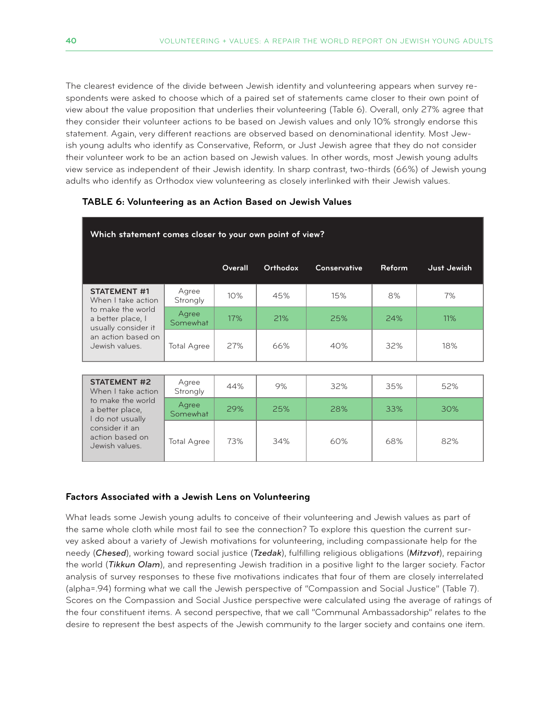The clearest evidence of the divide between Jewish identity and volunteering appears when survey respondents were asked to choose which of a paired set of statements came closer to their own point of view about the value proposition that underlies their volunteering (Table 6). Overall, only 27% agree that they consider their volunteer actions to be based on Jewish values and only 10% strongly endorse this statement. Again, very different reactions are observed based on denominational identity. Most Jewish young adults who identify as Conservative, Reform, or Just Jewish agree that they do not consider their volunteer work to be an action based on Jewish values. In other words, most Jewish young adults view service as independent of their Jewish identity. In sharp contrast, two-thirds (66%) of Jewish young adults who identify as Orthodox view volunteering as closely interlinked with their Jewish values.

| Which statement comes closer to your own point of view?                                               |                    |         |          |                     |        |             |  |
|-------------------------------------------------------------------------------------------------------|--------------------|---------|----------|---------------------|--------|-------------|--|
|                                                                                                       |                    | Overall | Orthodox | <b>Conservative</b> | Reform | Just Jewish |  |
| <b>STATEMENT #1</b><br>When I take action                                                             | Agree<br>Strongly  | 10%     | 45%      | 15%                 | 8%     | 7%          |  |
| to make the world<br>a better place, I<br>usually consider it<br>an action based on<br>Jewish values. | Agree<br>Somewhat  | 17%     | 21%      | 25%                 | 24%    | 11%         |  |
|                                                                                                       | <b>Total Agree</b> | 27%     | 66%      | 40%                 | 32%    | 18%         |  |
|                                                                                                       |                    |         |          |                     |        |             |  |
| <b>STATEMENT #2</b><br>When I take action<br>to make the world<br>a better place,<br>I do not usually | Agree<br>Strongly  | 44%     | 9%       | 32%                 | 35%    | 52%         |  |
|                                                                                                       | Agree<br>Somewhat  | 29%     | 25%      | 28%                 | 33%    | 30%         |  |
|                                                                                                       |                    |         |          |                     |        |             |  |

Total Agree | 73% | 34% | 60% | 68% | 82%

#### **TABLE 6: Volunteering as an Action Based on Jewish Values**

#### **Factors Associated with a Jewish Lens on Volunteering**

consider it an action based on Jewish values.

What leads some Jewish young adults to conceive of their volunteering and Jewish values as part of the same whole cloth while most fail to see the connection? To explore this question the current survey asked about a variety of Jewish motivations for volunteering, including compassionate help for the needy (*Chesed*), working toward social justice (*Tzedak*), fulfilling religious obligations (*Mitzvot*), repairing the world (*Tikkun Olam*), and representing Jewish tradition in a positive light to the larger society. Factor analysis of survey responses to these five motivations indicates that four of them are closely interrelated (alpha=.94) forming what we call the Jewish perspective of "Compassion and Social Justice" (Table 7). Scores on the Compassion and Social Justice perspective were calculated using the average of ratings of the four constituent items. A second perspective, that we call "Communal Ambassadorship" relates to the desire to represent the best aspects of the Jewish community to the larger society and contains one item.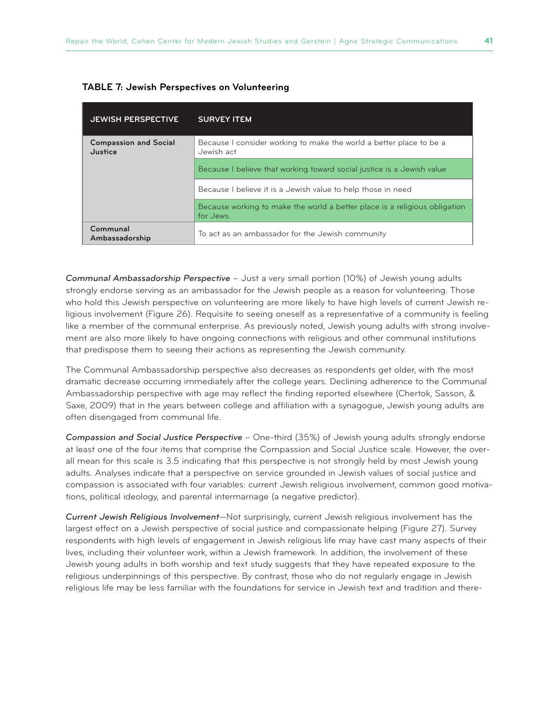| <b>JEWISH PERSPECTIVE</b>               | <b>SURVEY ITEM</b>                                                                      |
|-----------------------------------------|-----------------------------------------------------------------------------------------|
| <b>Compassion and Social</b><br>Justice | Because I consider working to make the world a better place to be a<br>Jewish act       |
|                                         | Because I believe that working toward social justice is a Jewish value                  |
|                                         | Because I believe it is a Jewish value to help those in need                            |
|                                         | Because working to make the world a better place is a religious obligation<br>for Jews. |
| Communal<br>Ambassadorship              | To act as an ambassador for the Jewish community                                        |

*Communal Ambassadorship Perspective* – Just a very small portion (10%) of Jewish young adults strongly endorse serving as an ambassador for the Jewish people as a reason for volunteering. Those who hold this Jewish perspective on volunteering are more likely to have high levels of current Jewish religious involvement (Figure 26). Requisite to seeing oneself as a representative of a community is feeling like a member of the communal enterprise. As previously noted, Jewish young adults with strong involvement are also more likely to have ongoing connections with religious and other communal institutions that predispose them to seeing their actions as representing the Jewish community.

The Communal Ambassadorship perspective also decreases as respondents get older, with the most dramatic decrease occurring immediately after the college years. Declining adherence to the Communal Ambassadorship perspective with age may reflect the finding reported elsewhere (Chertok, Sasson, & Saxe, 2009) that in the years between college and affiliation with a synagogue, Jewish young adults are often disengaged from communal life.

*Compassion and Social Justice Perspective* – One-third (35%) of Jewish young adults strongly endorse at least one of the four items that comprise the Compassion and Social Justice scale. However, the overall mean for this scale is 3.5 indicating that this perspective is not strongly held by most Jewish young adults. Analyses indicate that a perspective on service grounded in Jewish values of social justice and compassion is associated with four variables: current Jewish religious involvement, common good motivations, political ideology, and parental intermarriage (a negative predictor).

*Current Jewish Religious Involvement*—Not surprisingly, current Jewish religious involvement has the largest effect on a Jewish perspective of social justice and compassionate helping (Figure 27). Survey respondents with high levels of engagement in Jewish religious life may have cast many aspects of their lives, including their volunteer work, within a Jewish framework. In addition, the involvement of these Jewish young adults in both worship and text study suggests that they have repeated exposure to the religious underpinnings of this perspective. By contrast, those who do not regularly engage in Jewish religious life may be less familiar with the foundations for service in Jewish text and tradition and there-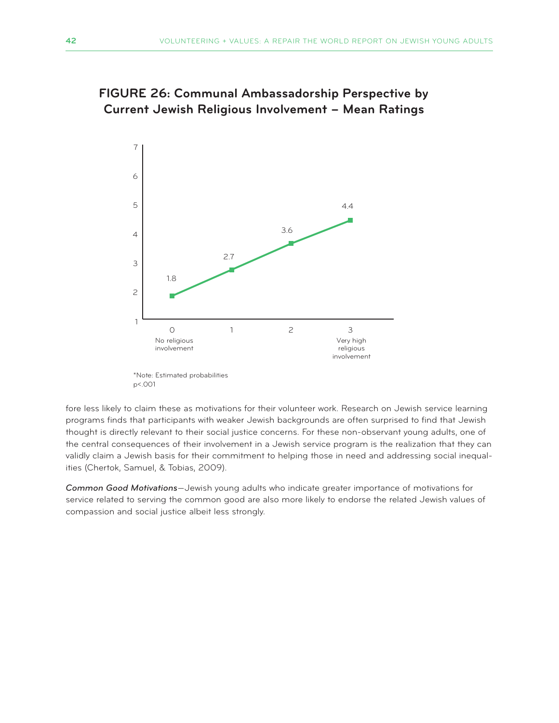

# **FIGURE 26: Communal Ambassadorship Perspective by Current Jewish Religious Involvement – Mean Ratings**

p<.001

fore less likely to claim these as motivations for their volunteer work. Research on Jewish service learning programs finds that participants with weaker Jewish backgrounds are often surprised to find that Jewish thought is directly relevant to their social justice concerns. For these non-observant young adults, one of the central consequences of their involvement in a Jewish service program is the realization that they can validly claim a Jewish basis for their commitment to helping those in need and addressing social inequalities (Chertok, Samuel, & Tobias, 2009).

*Common Good Motivations*—Jewish young adults who indicate greater importance of motivations for service related to serving the common good are also more likely to endorse the related Jewish values of compassion and social justice albeit less strongly.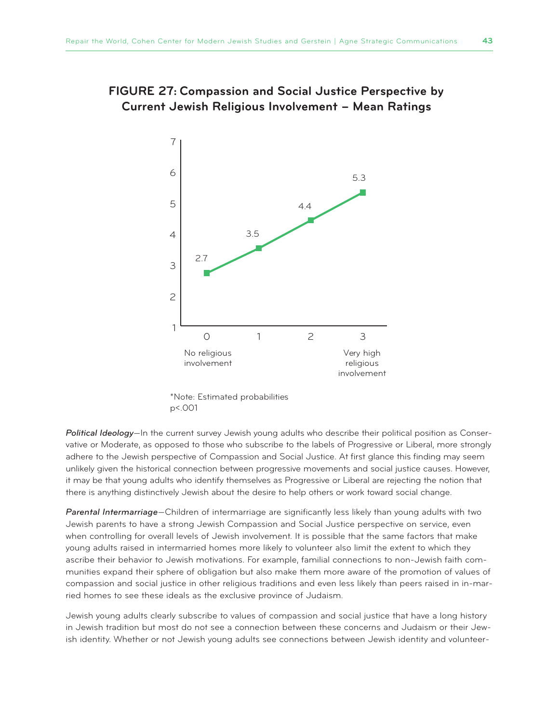

### **FIGURE 27: Compassion and Social Justice Perspective by Current Jewish Religious Involvement – Mean Ratings**

\*Note: Estimated probabilities p<.001

*Political Ideology*—In the current survey Jewish young adults who describe their political position as Conservative or Moderate, as opposed to those who subscribe to the labels of Progressive or Liberal, more strongly adhere to the Jewish perspective of Compassion and Social Justice. At first glance this finding may seem unlikely given the historical connection between progressive movements and social justice causes. However, it may be that young adults who identify themselves as Progressive or Liberal are rejecting the notion that there is anything distinctively Jewish about the desire to help others or work toward social change.

*Parental Intermarriage*—Children of intermarriage are significantly less likely than young adults with two Jewish parents to have a strong Jewish Compassion and Social Justice perspective on service, even when controlling for overall levels of Jewish involvement. It is possible that the same factors that make young adults raised in intermarried homes more likely to volunteer also limit the extent to which they ascribe their behavior to Jewish motivations. For example, familial connections to non-Jewish faith communities expand their sphere of obligation but also make them more aware of the promotion of values of compassion and social justice in other religious traditions and even less likely than peers raised in in-married homes to see these ideals as the exclusive province of Judaism.

Jewish young adults clearly subscribe to values of compassion and social justice that have a long history in Jewish tradition but most do not see a connection between these concerns and Judaism or their Jewish identity. Whether or not Jewish young adults see connections between Jewish identity and volunteer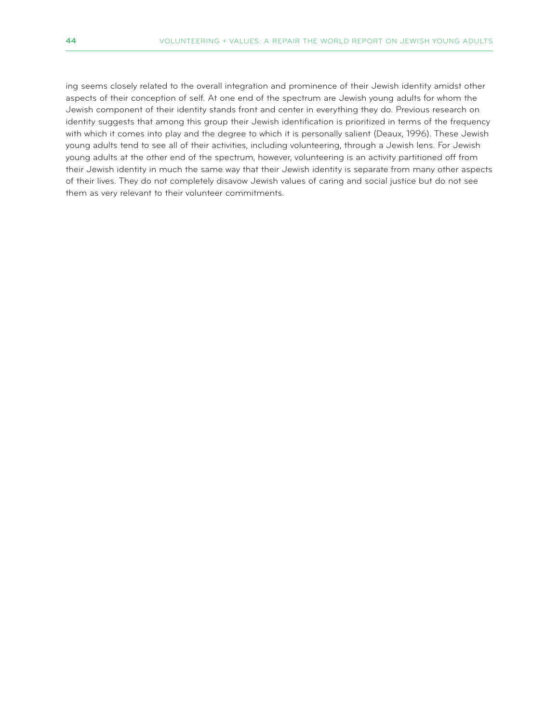ing seems closely related to the overall integration and prominence of their Jewish identity amidst other aspects of their conception of self. At one end of the spectrum are Jewish young adults for whom the Jewish component of their identity stands front and center in everything they do. Previous research on identity suggests that among this group their Jewish identification is prioritized in terms of the frequency with which it comes into play and the degree to which it is personally salient (Deaux, 1996). These Jewish young adults tend to see all of their activities, including volunteering, through a Jewish lens. For Jewish young adults at the other end of the spectrum, however, volunteering is an activity partitioned off from their Jewish identity in much the same way that their Jewish identity is separate from many other aspects of their lives. They do not completely disavow Jewish values of caring and social justice but do not see them as very relevant to their volunteer commitments.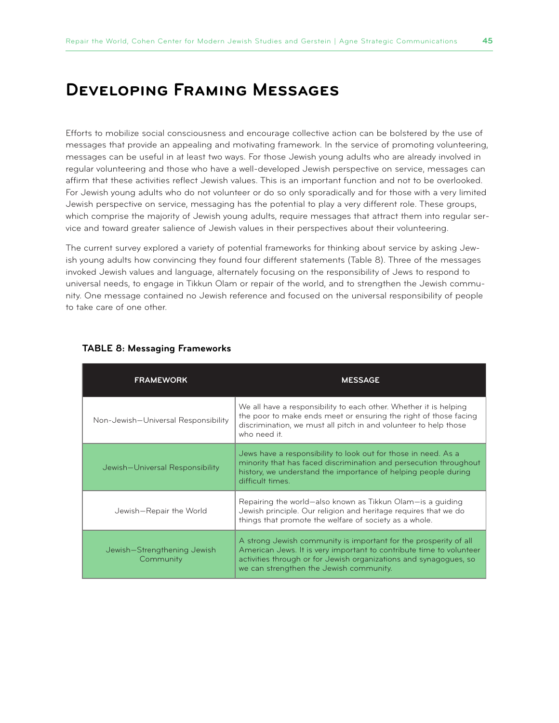# **Developing Framing Messages**

Efforts to mobilize social consciousness and encourage collective action can be bolstered by the use of messages that provide an appealing and motivating framework. In the service of promoting volunteering, messages can be useful in at least two ways. For those Jewish young adults who are already involved in regular volunteering and those who have a well-developed Jewish perspective on service, messages can affirm that these activities reflect Jewish values. This is an important function and not to be overlooked. For Jewish young adults who do not volunteer or do so only sporadically and for those with a very limited Jewish perspective on service, messaging has the potential to play a very different role. These groups, which comprise the majority of Jewish young adults, require messages that attract them into regular service and toward greater salience of Jewish values in their perspectives about their volunteering.

The current survey explored a variety of potential frameworks for thinking about service by asking Jewish young adults how convincing they found four different statements (Table 8). Three of the messages invoked Jewish values and language, alternately focusing on the responsibility of Jews to respond to universal needs, to engage in Tikkun Olam or repair of the world, and to strengthen the Jewish community. One message contained no Jewish reference and focused on the universal responsibility of people to take care of one other.

| <b>FRAMEWORK</b>                         | <b>MESSAGE</b>                                                                                                                                                                                                                                          |
|------------------------------------------|---------------------------------------------------------------------------------------------------------------------------------------------------------------------------------------------------------------------------------------------------------|
| Non-Jewish-Universal Responsibility      | We all have a responsibility to each other. Whether it is helping<br>the poor to make ends meet or ensuring the right of those facing<br>discrimination, we must all pitch in and volunteer to help those<br>who need it.                               |
| Jewish-Universal Responsibility          | Jews have a responsibility to look out for those in need. As a<br>minority that has faced discrimination and persecution throughout<br>history, we understand the importance of helping people during<br>difficult times.                               |
| Jewish-Repair the World                  | Repairing the world-also known as Tikkun Olam-is a guiding<br>Jewish principle. Our religion and heritage requires that we do<br>things that promote the welfare of society as a whole.                                                                 |
| Jewish-Strengthening Jewish<br>Community | A strong Jewish community is important for the prosperity of all<br>American Jews. It is very important to contribute time to volunteer<br>activities through or for Jewish organizations and synagogues, so<br>we can strengthen the Jewish community. |

#### **TABLE 8: Messaging Frameworks**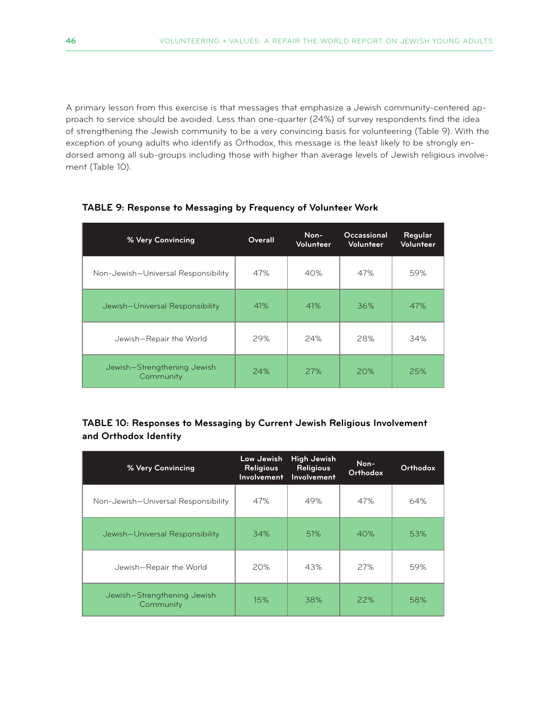A primary lesson from this exercise is that messages that emphasize a Jewish community-centered approach to service should be avoided. Less than one-quarter (24%) of survey respondents find the idea of strengthening the Jewish community to be a very convincing basis for volunteering (Table 9). With the exception of young adults who identify as Orthodox, this message is the least likely to be strongly endorsed among all sub-groups including those with higher than average levels of Jewish religious involvement (Table 10).

| % Very Convincing                        | Overall | Non-<br>Volunteer | Occassional<br>Volunteer | Regular<br>Volunteer |
|------------------------------------------|---------|-------------------|--------------------------|----------------------|
| Non-Jewish-Universal Responsibility      | 47%     | 40%               | 47%                      | 59%                  |
| Jewish-Universal Responsibility          | 41%     | 41%               | 36%                      | 47%                  |
| Jewish-Repair the World                  | 29%     | 24%               | 28%                      | 34%                  |
| Jewish-Strengthening Jewish<br>Community | 24%     | 27%               | 20%                      | 25%                  |

#### **TABLE 9: Response to Messaging by Frequency of Volunteer Work**

#### **TABLE 10: Responses to Messaging by Current Jewish Religious Involvement and Orthodox Identity**

| % Very Convincing                        | Low Jewish<br><b>Religious</b><br>Involvement | <b>High Jewish</b><br><b>Religious</b><br>Involvement | Non-<br>Orthodox | Orthodox |
|------------------------------------------|-----------------------------------------------|-------------------------------------------------------|------------------|----------|
| Non-Jewish-Universal Responsibility      | 47%                                           | 49%                                                   | 47%              | 64%      |
| Jewish-Universal Responsibility          | 34%                                           | 51%                                                   | 40%              | 53%      |
| Jewish-Repair the World                  | 20%                                           | 43%                                                   | 27%              | 59%      |
| Jewish-Strengthening Jewish<br>Community | 15%                                           | 38%                                                   | 22%              | 58%      |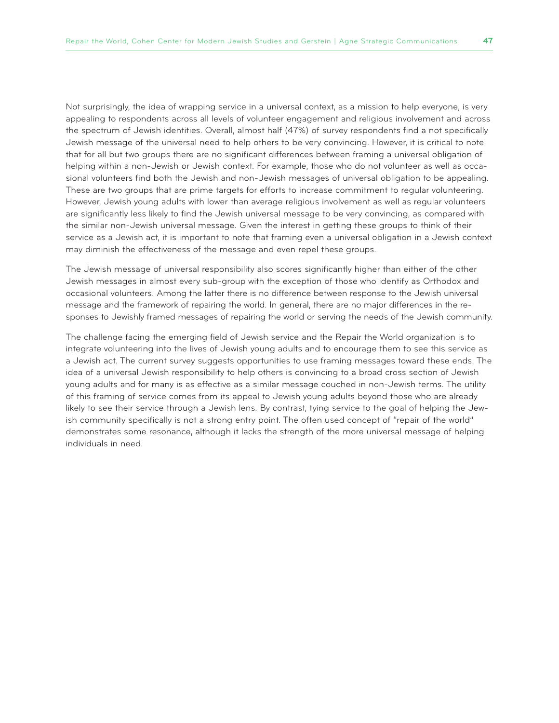Not surprisingly, the idea of wrapping service in a universal context, as a mission to help everyone, is very appealing to respondents across all levels of volunteer engagement and religious involvement and across the spectrum of Jewish identities. Overall, almost half (47%) of survey respondents find a not specifically Jewish message of the universal need to help others to be very convincing. However, it is critical to note that for all but two groups there are no significant differences between framing a universal obligation of helping within a non-Jewish or Jewish context. For example, those who do not volunteer as well as occasional volunteers find both the Jewish and non-Jewish messages of universal obligation to be appealing. These are two groups that are prime targets for efforts to increase commitment to regular volunteering. However, Jewish young adults with lower than average religious involvement as well as regular volunteers are significantly less likely to find the Jewish universal message to be very convincing, as compared with the similar non-Jewish universal message. Given the interest in getting these groups to think of their service as a Jewish act, it is important to note that framing even a universal obligation in a Jewish context may diminish the effectiveness of the message and even repel these groups.

The Jewish message of universal responsibility also scores significantly higher than either of the other Jewish messages in almost every sub-group with the exception of those who identify as Orthodox and occasional volunteers. Among the latter there is no difference between response to the Jewish universal message and the framework of repairing the world. In general, there are no major differences in the responses to Jewishly framed messages of repairing the world or serving the needs of the Jewish community.

The challenge facing the emerging field of Jewish service and the Repair the World organization is to integrate volunteering into the lives of Jewish young adults and to encourage them to see this service as a Jewish act. The current survey suggests opportunities to use framing messages toward these ends. The idea of a universal Jewish responsibility to help others is convincing to a broad cross section of Jewish young adults and for many is as effective as a similar message couched in non-Jewish terms. The utility of this framing of service comes from its appeal to Jewish young adults beyond those who are already likely to see their service through a Jewish lens. By contrast, tying service to the goal of helping the Jewish community specifically is not a strong entry point. The often used concept of "repair of the world" demonstrates some resonance, although it lacks the strength of the more universal message of helping individuals in need.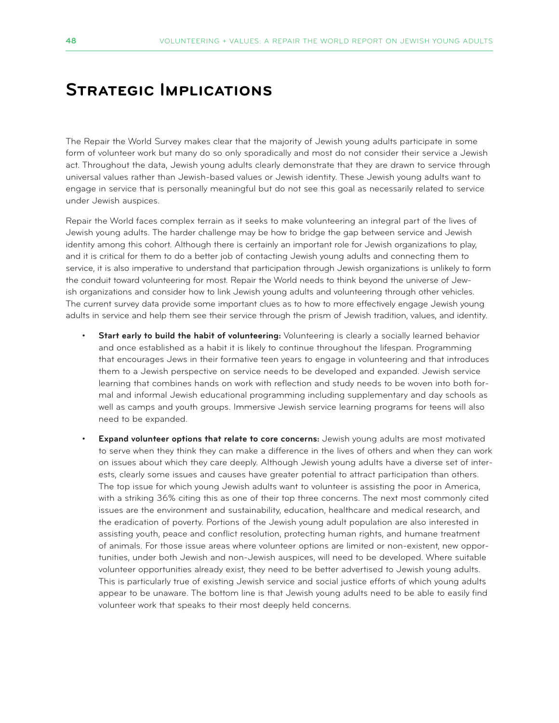# **Strategic Implications**

The Repair the World Survey makes clear that the majority of Jewish young adults participate in some form of volunteer work but many do so only sporadically and most do not consider their service a Jewish act. Throughout the data, Jewish young adults clearly demonstrate that they are drawn to service through universal values rather than Jewish-based values or Jewish identity. These Jewish young adults want to engage in service that is personally meaningful but do not see this goal as necessarily related to service under Jewish auspices.

Repair the World faces complex terrain as it seeks to make volunteering an integral part of the lives of Jewish young adults. The harder challenge may be how to bridge the gap between service and Jewish identity among this cohort. Although there is certainly an important role for Jewish organizations to play, and it is critical for them to do a better job of contacting Jewish young adults and connecting them to service, it is also imperative to understand that participation through Jewish organizations is unlikely to form the conduit toward volunteering for most. Repair the World needs to think beyond the universe of Jewish organizations and consider how to link Jewish young adults and volunteering through other vehicles. The current survey data provide some important clues as to how to more effectively engage Jewish young adults in service and help them see their service through the prism of Jewish tradition, values, and identity.

- Start early to build the habit of volunteering: Volunteering is clearly a socially learned behavior and once established as a habit it is likely to continue throughout the lifespan. Programming that encourages Jews in their formative teen years to engage in volunteering and that introduces them to a Jewish perspective on service needs to be developed and expanded. Jewish service learning that combines hands on work with reflection and study needs to be woven into both formal and informal Jewish educational programming including supplementary and day schools as well as camps and youth groups. Immersive Jewish service learning programs for teens will also need to be expanded.
- **Expand volunteer options that relate to core concerns:** Jewish young adults are most motivated to serve when they think they can make a difference in the lives of others and when they can work on issues about which they care deeply. Although Jewish young adults have a diverse set of interests, clearly some issues and causes have greater potential to attract participation than others. The top issue for which young Jewish adults want to volunteer is assisting the poor in America, with a striking 36% citing this as one of their top three concerns. The next most commonly cited issues are the environment and sustainability, education, healthcare and medical research, and the eradication of poverty. Portions of the Jewish young adult population are also interested in assisting youth, peace and conflict resolution, protecting human rights, and humane treatment of animals. For those issue areas where volunteer options are limited or non-existent, new opportunities, under both Jewish and non-Jewish auspices, will need to be developed. Where suitable volunteer opportunities already exist, they need to be better advertised to Jewish young adults. This is particularly true of existing Jewish service and social justice efforts of which young adults appear to be unaware. The bottom line is that Jewish young adults need to be able to easily find volunteer work that speaks to their most deeply held concerns.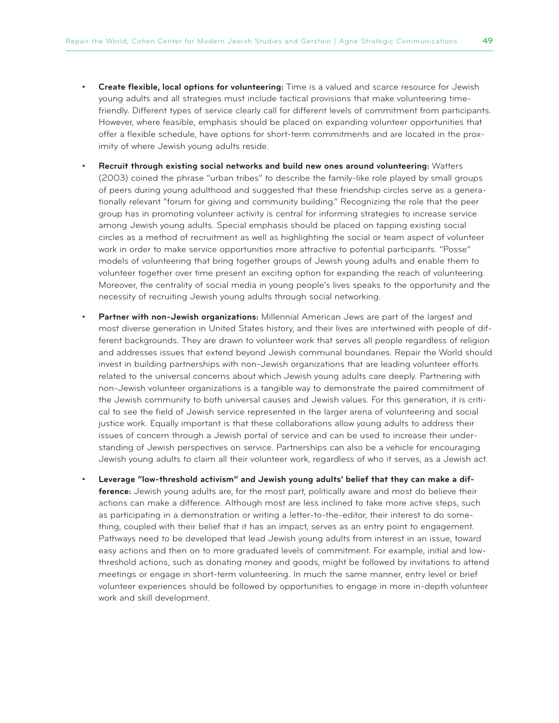- **Create flexible, local options for volunteering:** Time is a valued and scarce resource for Jewish young adults and all strategies must include tactical provisions that make volunteering timefriendly. Different types of service clearly call for different levels of commitment from participants. However, where feasible, emphasis should be placed on expanding volunteer opportunities that offer a flexible schedule, have options for short-term commitments and are located in the proximity of where Jewish young adults reside.
- • **Recruit through existing social networks and build new ones around volunteering:** Watters (2003) coined the phrase "urban tribes" to describe the family-like role played by small groups of peers during young adulthood and suggested that these friendship circles serve as a generationally relevant "forum for giving and community building." Recognizing the role that the peer group has in promoting volunteer activity is central for informing strategies to increase service among Jewish young adults. Special emphasis should be placed on tapping existing social circles as a method of recruitment as well as highlighting the social or team aspect of volunteer work in order to make service opportunities more attractive to potential participants. "Posse" models of volunteering that bring together groups of Jewish young adults and enable them to volunteer together over time present an exciting option for expanding the reach of volunteering. Moreover, the centrality of social media in young people's lives speaks to the opportunity and the necessity of recruiting Jewish young adults through social networking.
- Partner with non-Jewish organizations: Millennial American Jews are part of the largest and most diverse generation in United States history, and their lives are intertwined with people of different backgrounds. They are drawn to volunteer work that serves all people regardless of religion and addresses issues that extend beyond Jewish communal boundaries. Repair the World should invest in building partnerships with non-Jewish organizations that are leading volunteer efforts related to the universal concerns about which Jewish young adults care deeply. Partnering with non-Jewish volunteer organizations is a tangible way to demonstrate the paired commitment of the Jewish community to both universal causes and Jewish values. For this generation, it is critical to see the field of Jewish service represented in the larger arena of volunteering and social justice work. Equally important is that these collaborations allow young adults to address their issues of concern through a Jewish portal of service and can be used to increase their understanding of Jewish perspectives on service. Partnerships can also be a vehicle for encouraging Jewish young adults to claim all their volunteer work, regardless of who it serves, as a Jewish act.
- Leverage "low-threshold activism" and Jewish young adults' belief that they can make a dif**ference:** Jewish young adults are, for the most part, politically aware and most do believe their actions can make a difference. Although most are less inclined to take more active steps, such as participating in a demonstration or writing a letter-to-the-editor, their interest to do something, coupled with their belief that it has an impact, serves as an entry point to engagement. Pathways need to be developed that lead Jewish young adults from interest in an issue, toward easy actions and then on to more graduated levels of commitment. For example, initial and lowthreshold actions, such as donating money and goods, might be followed by invitations to attend meetings or engage in short-term volunteering. In much the same manner, entry level or brief volunteer experiences should be followed by opportunities to engage in more in-depth volunteer work and skill development.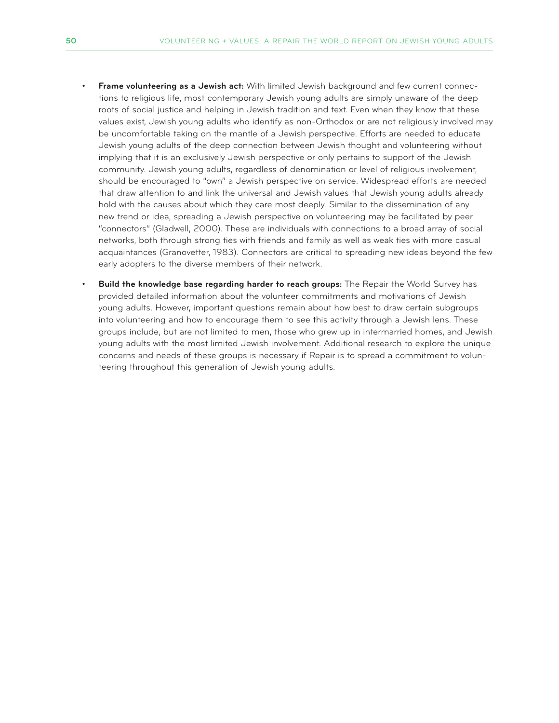- **Frame volunteering as a Jewish act:** With limited Jewish background and few current connections to religious life, most contemporary Jewish young adults are simply unaware of the deep roots of social justice and helping in Jewish tradition and text. Even when they know that these values exist, Jewish young adults who identify as non-Orthodox or are not religiously involved may be uncomfortable taking on the mantle of a Jewish perspective. Efforts are needed to educate Jewish young adults of the deep connection between Jewish thought and volunteering without implying that it is an exclusively Jewish perspective or only pertains to support of the Jewish community. Jewish young adults, regardless of denomination or level of religious involvement, should be encouraged to "own" a Jewish perspective on service. Widespread efforts are needed that draw attention to and link the universal and Jewish values that Jewish young adults already hold with the causes about which they care most deeply. Similar to the dissemination of any new trend or idea, spreading a Jewish perspective on volunteering may be facilitated by peer "connectors" (Gladwell, 2000). These are individuals with connections to a broad array of social networks, both through strong ties with friends and family as well as weak ties with more casual acquaintances (Granovetter, 1983). Connectors are critical to spreading new ideas beyond the few early adopters to the diverse members of their network.
- **Build the knowledge base regarding harder to reach groups:** The Repair the World Survey has provided detailed information about the volunteer commitments and motivations of Jewish young adults. However, important questions remain about how best to draw certain subgroups into volunteering and how to encourage them to see this activity through a Jewish lens. These groups include, but are not limited to men, those who grew up in intermarried homes, and Jewish young adults with the most limited Jewish involvement. Additional research to explore the unique concerns and needs of these groups is necessary if Repair is to spread a commitment to volunteering throughout this generation of Jewish young adults.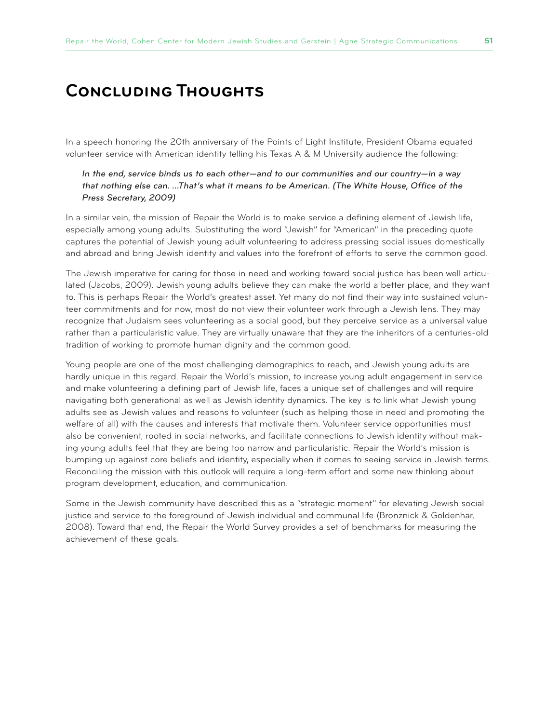# **Concluding Thoughts**

In a speech honoring the 20th anniversary of the Points of Light Institute, President Obama equated volunteer service with American identity telling his Texas A & M University audience the following:

*In the end, service binds us to each other—and to our communities and our country—in a way that nothing else can. …That's what it means to be American. (The White House, Office of the Press Secretary, 2009)*

In a similar vein, the mission of Repair the World is to make service a defining element of Jewish life, especially among young adults. Substituting the word "Jewish" for "American" in the preceding quote captures the potential of Jewish young adult volunteering to address pressing social issues domestically and abroad and bring Jewish identity and values into the forefront of efforts to serve the common good.

The Jewish imperative for caring for those in need and working toward social justice has been well articulated (Jacobs, 2009). Jewish young adults believe they can make the world a better place, and they want to. This is perhaps Repair the World's greatest asset. Yet many do not find their way into sustained volunteer commitments and for now, most do not view their volunteer work through a Jewish lens. They may recognize that Judaism sees volunteering as a social good, but they perceive service as a universal value rather than a particularistic value. They are virtually unaware that they are the inheritors of a centuries-old tradition of working to promote human dignity and the common good.

Young people are one of the most challenging demographics to reach, and Jewish young adults are hardly unique in this regard. Repair the World's mission, to increase young adult engagement in service and make volunteering a defining part of Jewish life, faces a unique set of challenges and will require navigating both generational as well as Jewish identity dynamics. The key is to link what Jewish young adults see as Jewish values and reasons to volunteer (such as helping those in need and promoting the welfare of all) with the causes and interests that motivate them. Volunteer service opportunities must also be convenient, rooted in social networks, and facilitate connections to Jewish identity without making young adults feel that they are being too narrow and particularistic. Repair the World's mission is bumping up against core beliefs and identity, especially when it comes to seeing service in Jewish terms. Reconciling the mission with this outlook will require a long-term effort and some new thinking about program development, education, and communication.

Some in the Jewish community have described this as a "strategic moment" for elevating Jewish social justice and service to the foreground of Jewish individual and communal life (Bronznick & Goldenhar, 2008). Toward that end, the Repair the World Survey provides a set of benchmarks for measuring the achievement of these goals.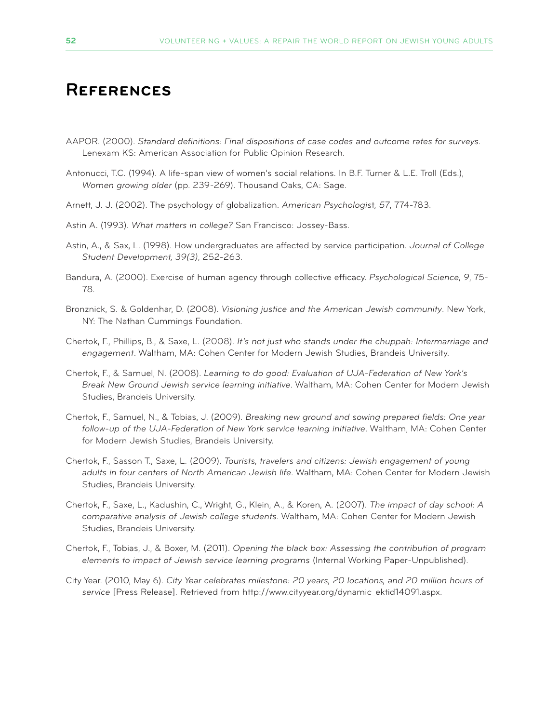# **References**

- AAPOR. (2000). *Standard definitions: Final dispositions of case codes and outcome rates for surveys.* Lenexam KS: American Association for Public Opinion Research.
- Antonucci, T.C. (1994). A life-span view of women's social relations. In B.F. Turner & L.E. Troll (Eds.), *Women growing older* (pp. 239-269). Thousand Oaks, CA: Sage.
- Arnett, J. J. (2002). The psychology of globalization. *American Psychologis*t*, 57*, 774-783.
- Astin A. (1993). *What matters in college?* San Francisco: Jossey-Bass.
- Astin, A., & Sax, L. (1998). How undergraduates are affected by service participation. *Journal of College Student Development, 39(3)*, 252-263.
- Bandura, A. (2000). Exercise of human agency through collective efficacy. *Psychological Science, 9*, 75- 78.
- Bronznick, S. & Goldenhar, D. (2008). *Visioning justice and the American Jewish community*. New York, NY: The Nathan Cummings Foundation.
- Chertok, F., Phillips, B., & Saxe, L. (2008). *It's not just who stands under the chuppah: Intermarriage and engagement*. Waltham, MA: Cohen Center for Modern Jewish Studies, Brandeis University.
- Chertok, F., & Samuel, N. (2008). *Learning to do good: Evaluation of UJA-Federation of New York's Break New Ground Jewish service learning initiative*. Waltham, MA: Cohen Center for Modern Jewish Studies, Brandeis University.
- Chertok, F., Samuel, N., & Tobias, J. (2009). *Breaking new ground and sowing prepared fields: One year follow-up of the UJA-Federation of New York service learning initiative*. Waltham, MA: Cohen Center for Modern Jewish Studies, Brandeis University.
- Chertok, F., Sasson T., Saxe, L. (2009). *Tourists, travelers and citizens: Jewish engagement of young adults in four centers of North American Jewish life*. Waltham, MA: Cohen Center for Modern Jewish Studies, Brandeis University.
- Chertok, F., Saxe, L., Kadushin, C., Wright, G., Klein, A., & Koren, A. (2007). *The impact of day school: A comparative analysis of Jewish college students*. Waltham, MA: Cohen Center for Modern Jewish Studies, Brandeis University.
- Chertok, F., Tobias, J., & Boxer, M. (2011). *Opening the black box: Assessing the contribution of program elements to impact of Jewish service learning programs* (Internal Working Paper-Unpublished).
- City Year. (2010, May 6). *City Year celebrates milestone: 20 years, 20 locations, and 20 million hours of service* [Press Release]. Retrieved from http://www.cityyear.org/dynamic\_ektid14091.aspx.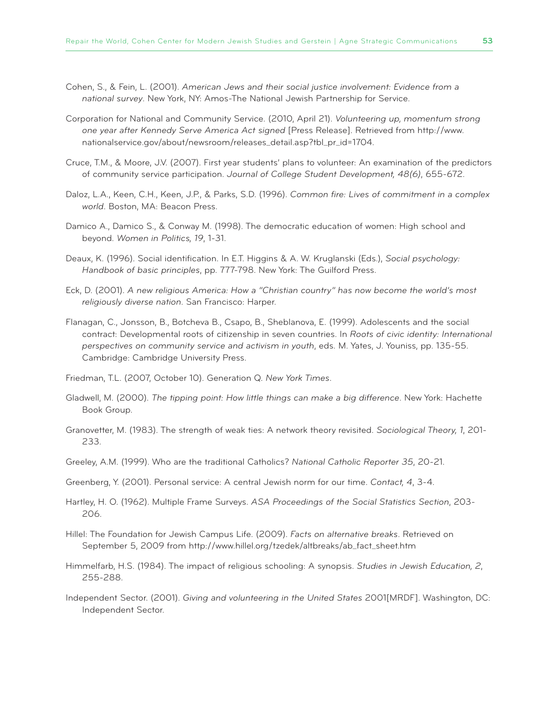- Cohen, S., & Fein, L. (2001). *American Jews and their social justice involvement: Evidence from a national survey*. New York, NY: Amos-The National Jewish Partnership for Service.
- Corporation for National and Community Service. (2010, April 21). *Volunteering up, momentum strong one year after Kennedy Serve America Act signed* [Press Release]. Retrieved from http://www. nationalservice.gov/about/newsroom/releases\_detail.asp?tbl\_pr\_id=1704.
- Cruce, T.M., & Moore, J.V. (2007). First year students' plans to volunteer: An examination of the predictors of community service participation. *Journal of College Student Development, 48(6)*, 655-672.
- Daloz, L.A., Keen, C.H., Keen, J.P., & Parks, S.D. (1996). *Common fire: Lives of commitment in a complex world*. Boston, MA: Beacon Press.
- Damico A., Damico S., & Conway M. (1998). The democratic education of women: High school and beyond. *Women in Politics, 19*, 1-31.
- Deaux, K. (1996). Social identification. In E.T. Higgins & A. W. Kruglanski (Eds.), *Social psychology: Handbook of basic principles*, pp. 777-798. New York: The Guilford Press.
- Eck, D. (2001). *A new religious America: How a "Christian country" has now become the world's most religiously diverse nation*. San Francisco: Harper.
- Flanagan, C., Jonsson, B., Botcheva B., Csapo, B., Sheblanova, E. (1999). Adolescents and the social contract: Developmental roots of citizenship in seven countries. In *Roots of civic identity: International perspectives on community service and activism in youth*, eds. M. Yates, J. Youniss, pp. 135-55. Cambridge: Cambridge University Press.
- Friedman, T.L. (2007, October 10). Generation Q. *New York Times*.
- Gladwell, M. (2000). *The tipping point: How little things can make a big difference*. New York: Hachette Book Group.
- Granovetter, M. (1983). The strength of weak ties: A network theory revisited. *Sociological Theory, 1*, 201- 233.
- Greeley, A.M. (1999). Who are the traditional Catholics? *National Catholic Reporter 35*, 20-21.
- Greenberg, Y. (2001). Personal service: A central Jewish norm for our time. *Contact, 4*, 3-4.
- Hartley, H. O. (1962). Multiple Frame Surveys. *ASA Proceedings of the Social Statistics Section*, 203- 206.
- Hillel: The Foundation for Jewish Campus Life. (2009). *Facts on alternative breaks*. Retrieved on September 5, 2009 from http://www.hillel.org/tzedek/altbreaks/ab\_fact\_sheet.htm
- Himmelfarb, H.S. (1984). The impact of religious schooling: A synopsis. *Studies in Jewish Education, 2*, 255-288.
- Independent Sector. (2001). *Giving and volunteering in the United States* 2001[MRDF]. Washington, DC: Independent Sector.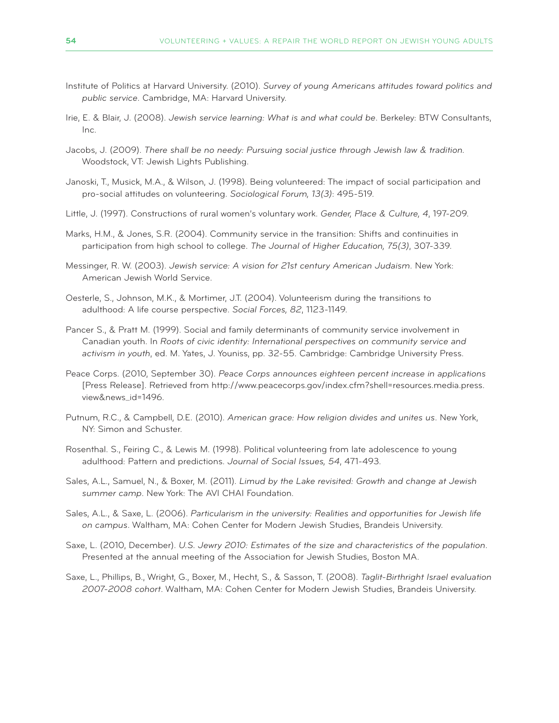- Institute of Politics at Harvard University. (2010). *Survey of young Americans attitudes toward politics and public service*. Cambridge, MA: Harvard University.
- Irie, E. & Blair, J. (2008). *Jewish service learning: What is and what could be*. Berkeley: BTW Consultants, Inc.
- Jacobs, J. (2009). *There shall be no needy: Pursuing social justice through Jewish law & tradition.* Woodstock, VT: Jewish Lights Publishing.
- Janoski, T., Musick, M.A., & Wilson, J. (1998). Being volunteered: The impact of social participation and pro-social attitudes on volunteering. *Sociological Forum, 13(3)*: 495-519.
- Little, J. (1997). Constructions of rural women's voluntary work. *Gender, Place & Culture, 4*, 197-209.
- Marks, H.M., & Jones, S.R. (2004). Community service in the transition: Shifts and continuities in participation from high school to college. *The Journal of Higher Education, 75(3)*, 307-339.
- Messinger, R. W. (2003). *Jewish service: A vision for 21st century American Judaism*. New York: American Jewish World Service.
- Oesterle, S., Johnson, M.K., & Mortimer, J.T. (2004). Volunteerism during the transitions to adulthood: A life course perspective. *Social Forces, 82*, 1123-1149.
- Pancer S., & Pratt M. (1999). Social and family determinants of community service involvement in Canadian youth. In *Roots of civic identity: International perspectives on community service and activism in youth*, ed. M. Yates, J. Youniss, pp. 32-55. Cambridge: Cambridge University Press.
- Peace Corps. (2010, September 30). *Peace Corps announces eighteen percent increase in applications* [Press Release]. Retrieved from http://www.peacecorps.gov/index.cfm?shell=resources.media.press. view&news\_id=1496.
- Putnum, R.C., & Campbell, D.E. (2010). *American grace: How religion divides and unites us*. New York, NY: Simon and Schuster.
- Rosenthal. S., Feiring C., & Lewis M. (1998). Political volunteering from late adolescence to young adulthood: Pattern and predictions. *Journal of Social Issues, 54*, 471-493.
- Sales, A.L., Samuel, N., & Boxer, M. (2011). *Limud by the Lake revisited: Growth and change at Jewish summer camp*. New York: The AVI CHAI Foundation.
- Sales, A.L., & Saxe, L. (2006). *Particularism in the university: Realities and opportunities for Jewish life on campus*. Waltham, MA: Cohen Center for Modern Jewish Studies, Brandeis University.
- Saxe, L. (2010, December). *U.S. Jewry 2010: Estimates of the size and characteristics of the population*. Presented at the annual meeting of the Association for Jewish Studies, Boston MA.
- Saxe, L., Phillips, B., Wright, G., Boxer, M., Hecht, S., & Sasson, T. (2008). *Taglit-Birthright Israel evaluation 2007-2008 cohort*. Waltham, MA: Cohen Center for Modern Jewish Studies, Brandeis University.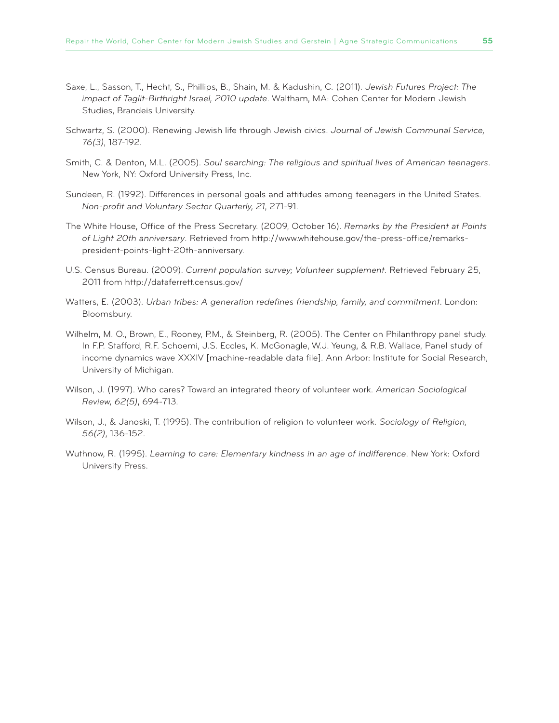- Saxe, L., Sasson, T., Hecht, S., Phillips, B., Shain, M. & Kadushin, C. (2011). *Jewish Futures Project: The impact of Taglit-Birthright Israel, 2010 update*. Waltham, MA: Cohen Center for Modern Jewish Studies, Brandeis University.
- Schwartz, S. (2000). Renewing Jewish life through Jewish civics. *Journal of Jewish Communal Service, 76(3)*, 187-192.
- Smith, C. & Denton, M.L. (2005). *Soul searching: The religious and spiritual lives of American teenagers*. New York, NY: Oxford University Press, Inc.
- Sundeen, R. (1992). Differences in personal goals and attitudes among teenagers in the United States. *Non-profit and Voluntary Sector Quarterly, 21*, 271-91.
- The White House, Office of the Press Secretary. (2009, October 16). *Remarks by the President at Points of Light 20th anniversary*. Retrieved from http://www.whitehouse.gov/the-press-office/remarkspresident-points-light-20th-anniversary.
- U.S. Census Bureau. (2009). *Current population survey; Volunteer supplement*. Retrieved February 25, 2011 from http://dataferrett.census.gov/
- Watters, E. (2003). *Urban tribes: A generation redefines friendship, family, and commitment*. London: Bloomsbury.
- Wilhelm, M. O., Brown, E., Rooney, P.M., & Steinberg, R. (2005). The Center on Philanthropy panel study. In F.P. Stafford, R.F. Schoemi, J.S. Eccles, K. McGonagle, W.J. Yeung, & R.B. Wallace, Panel study of income dynamics wave XXXIV [machine-readable data file]. Ann Arbor: Institute for Social Research, University of Michigan.
- Wilson, J. (1997). Who cares? Toward an integrated theory of volunteer work. *American Sociological Review, 62(5)*, 694-713.
- Wilson, J., & Janoski, T. (1995). The contribution of religion to volunteer work. *Sociology of Religion, 56(2)*, 136-152.
- Wuthnow, R. (1995). *Learning to care: Elementary kindness in an age of indifference*. New York: Oxford University Press.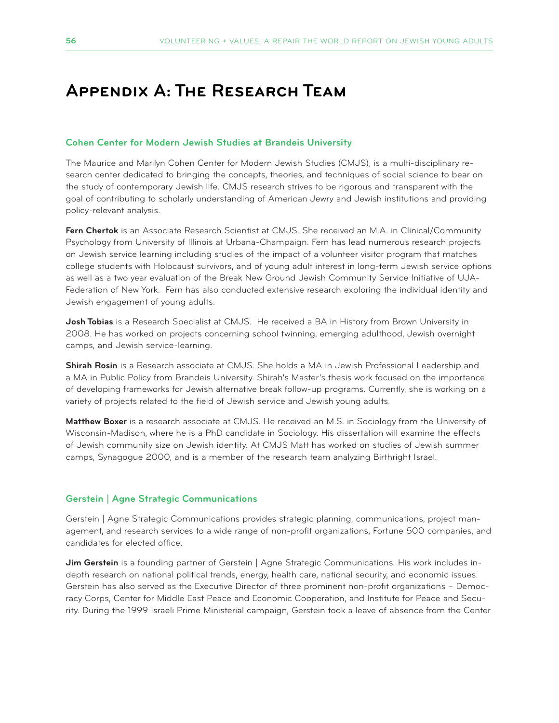# **Appendix A: The Research Team**

#### **Cohen Center for Modern Jewish Studies at Brandeis University**

The Maurice and Marilyn Cohen Center for Modern Jewish Studies (CMJS), is a multi-disciplinary research center dedicated to bringing the concepts, theories, and techniques of social science to bear on the study of contemporary Jewish life. CMJS research strives to be rigorous and transparent with the goal of contributing to scholarly understanding of American Jewry and Jewish institutions and providing policy-relevant analysis.

**Fern Chertok** is an Associate Research Scientist at CMJS. She received an M.A. in Clinical/Community Psychology from University of Illinois at Urbana-Champaign. Fern has lead numerous research projects on Jewish service learning including studies of the impact of a volunteer visitor program that matches college students with Holocaust survivors, and of young adult interest in long-term Jewish service options as well as a two year evaluation of the Break New Ground Jewish Community Service Initiative of UJA-Federation of New York. Fern has also conducted extensive research exploring the individual identity and Jewish engagement of young adults.

**Josh Tobias** is a Research Specialist at CMJS. He received a BA in History from Brown University in 2008. He has worked on projects concerning school twinning, emerging adulthood, Jewish overnight camps, and Jewish service-learning.

**Shirah Rosin** is a Research associate at CMJS. She holds a MA in Jewish Professional Leadership and a MA in Public Policy from Brandeis University. Shirah's Master's thesis work focused on the importance of developing frameworks for Jewish alternative break follow-up programs. Currently, she is working on a variety of projects related to the field of Jewish service and Jewish young adults.

**Matthew Boxer** is a research associate at CMJS. He received an M.S. in Sociology from the University of Wisconsin-Madison, where he is a PhD candidate in Sociology. His dissertation will examine the effects of Jewish community size on Jewish identity. At CMJS Matt has worked on studies of Jewish summer camps, Synagogue 2000, and is a member of the research team analyzing Birthright Israel.

#### **Gerstein | Agne Strategic Communications**

Gerstein | Agne Strategic Communications provides strategic planning, communications, project management, and research services to a wide range of non-profit organizations, Fortune 500 companies, and candidates for elected office.

**Jim Gerstein** is a founding partner of Gerstein | Agne Strategic Communications. His work includes indepth research on national political trends, energy, health care, national security, and economic issues. Gerstein has also served as the Executive Director of three prominent non-profit organizations – Democracy Corps, Center for Middle East Peace and Economic Cooperation, and Institute for Peace and Security. During the 1999 Israeli Prime Ministerial campaign, Gerstein took a leave of absence from the Center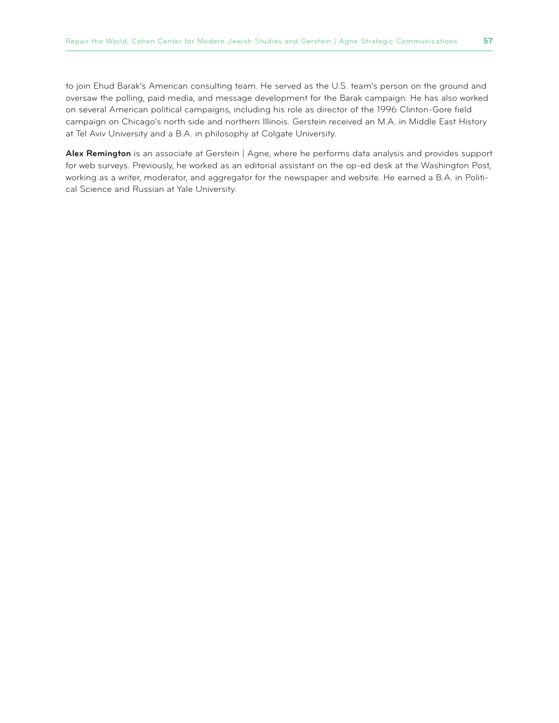to join Ehud Barak's American consulting team. He served as the U.S. team's person on the ground and oversaw the polling, paid media, and message development for the Barak campaign. He has also worked on several American political campaigns, including his role as director of the 1996 Clinton-Gore field campaign on Chicago's north side and northern Illinois. Gerstein received an M.A. in Middle East History at Tel Aviv University and a B.A. in philosophy at Colgate University.

**Alex Remington** is an associate at Gerstein | Agne, where he performs data analysis and provides support for web surveys. Previously, he worked as an editorial assistant on the op-ed desk at the Washington Post, working as a writer, moderator, and aggregator for the newspaper and website. He earned a B.A. in Political Science and Russian at Yale University.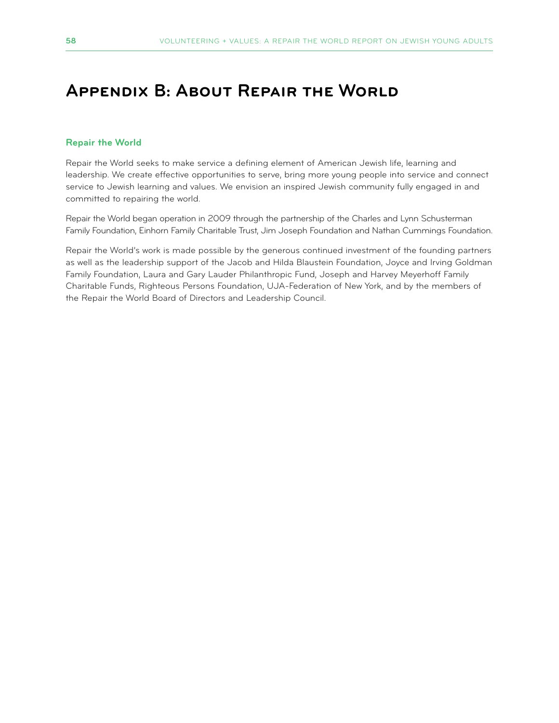# **Appendix B: About Repair the World**

#### **Repair the World**

Repair the World seeks to make service a defining element of American Jewish life, learning and leadership. We create effective opportunities to serve, bring more young people into service and connect service to Jewish learning and values. We envision an inspired Jewish community fully engaged in and committed to repairing the world.

Repair the World began operation in 2009 through the partnership of the Charles and Lynn Schusterman Family Foundation, Einhorn Family Charitable Trust, Jim Joseph Foundation and Nathan Cummings Foundation.

Repair the World's work is made possible by the generous continued investment of the founding partners as well as the leadership support of the Jacob and Hilda Blaustein Foundation, Joyce and Irving Goldman Family Foundation, Laura and Gary Lauder Philanthropic Fund, Joseph and Harvey Meyerhoff Family Charitable Funds, Righteous Persons Foundation, UJA-Federation of New York, and by the members of the Repair the World Board of Directors and Leadership Council.